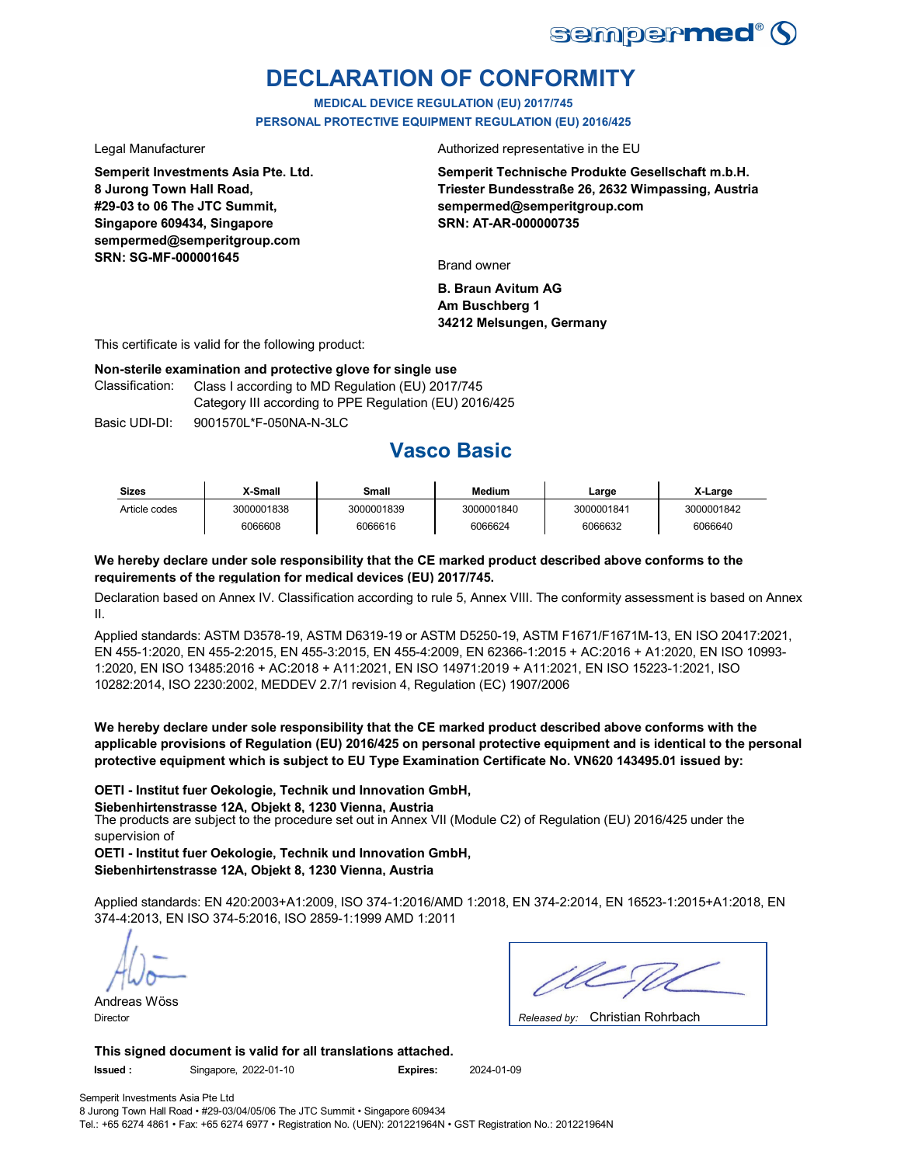

# **DECLARATION OF CONFORMITY**

**MEDICAL DEVICE REGULATION (EU) 2017/745 PERSONAL PROTECTIVE EQUIPMENT REGULATION (EU) 2016/425**

**Semperit Investments Asia Pte. Ltd. 8 Jurong Town Hall Road, #29-03 to 06 The JTC Summit, Singapore 609434, Singapore sempermed@semperitgroup.com SRN: SG-MF-000001645**

Legal Manufacturer **Authorized** representative in the EU

**Semperit Technische Produkte Gesellschaft m.b.H. Triester Bundesstraße 26, 2632 Wimpassing, Austria sempermed@semperitgroup.com SRN: AT-AR-000000735**

Brand owner

**B. Braun Avitum AG Am Buschberg 1 34212 Melsungen, Germany**

This certificate is valid for the following product:

#### **Non-sterile examination and protective glove for single use**

Class I according to MD Regulation (EU) 2017/745 Category III according to PPE Regulation (EU) 2016/425 Classification:

Basic UDI-DI: 9001570L\*F-050NA-N-3LC Basic 9001570L\*F-050NA-N-3LC

## **Vasco Basic**

| <b>Sizes</b>  | X-Small    | Small      | <b>Medium</b> | ∟arɑe      | X-Large    |
|---------------|------------|------------|---------------|------------|------------|
| Article codes | 3000001838 | 3000001839 | 3000001840    | 3000001841 | 3000001842 |
|               | 6066608    | 6066616    | 6066624       | 6066632    | 6066640    |

#### **We hereby declare under sole responsibility that the CE marked product described above conforms to the requirements of the regulation for medical devices (EU) 2017/745.**

Declaration based on Annex IV. Classification according to rule 5, Annex VIII. The conformity assessment is based on Annex II.

Applied standards: ASTM D3578-19, ASTM D6319-19 or ASTM D5250-19, ASTM F1671/F1671M-13, EN ISO 20417:2021, EN 455-1:2020, EN 455-2:2015, EN 455-3:2015, EN 455-4:2009, EN 62366-1:2015 + AC:2016 + A1:2020, EN ISO 10993- 1:2020, EN ISO 13485:2016 + AC:2018 + A11:2021, EN ISO 14971:2019 + A11:2021, EN ISO 15223-1:2021, ISO 10282:2014, ISO 2230:2002, MEDDEV 2.7/1 revision 4, Regulation (EC) 1907/2006

**We hereby declare under sole responsibility that the CE marked product described above conforms with the applicable provisions of Regulation (EU) 2016/425 on personal protective equipment and is identical to the personal protective equipment which is subject to EU Type Examination Certificate No. VN620 143495.01 issued by:**

#### **OETI - Institut fuer Oekologie, Technik und Innovation GmbH,**

**Siebenhirtenstrasse 12A, Objekt 8, 1230 Vienna, Austria**

The products are subject to the procedure set out in Annex VII (Module C2) of Regulation (EU) 2016/425 under the supervision of

**OETI - Institut fuer Oekologie, Technik und Innovation GmbH, Siebenhirtenstrasse 12A, Objekt 8, 1230 Vienna, Austria**

Applied standards: EN 420:2003+A1:2009, ISO 374-1:2016/AMD 1:2018, EN 374-2:2014, EN 16523-1:2015+A1:2018, EN 374-4:2013, EN ISO 374-5:2016, ISO 2859-1:1999 AMD 1:2011

Andreas Wöss

Christian Rohrbach Director *Released by:* 

**This signed document is valid for all translations attached. Issued :** Singapore, 2022-01-10 **Expires:** 2024-01-09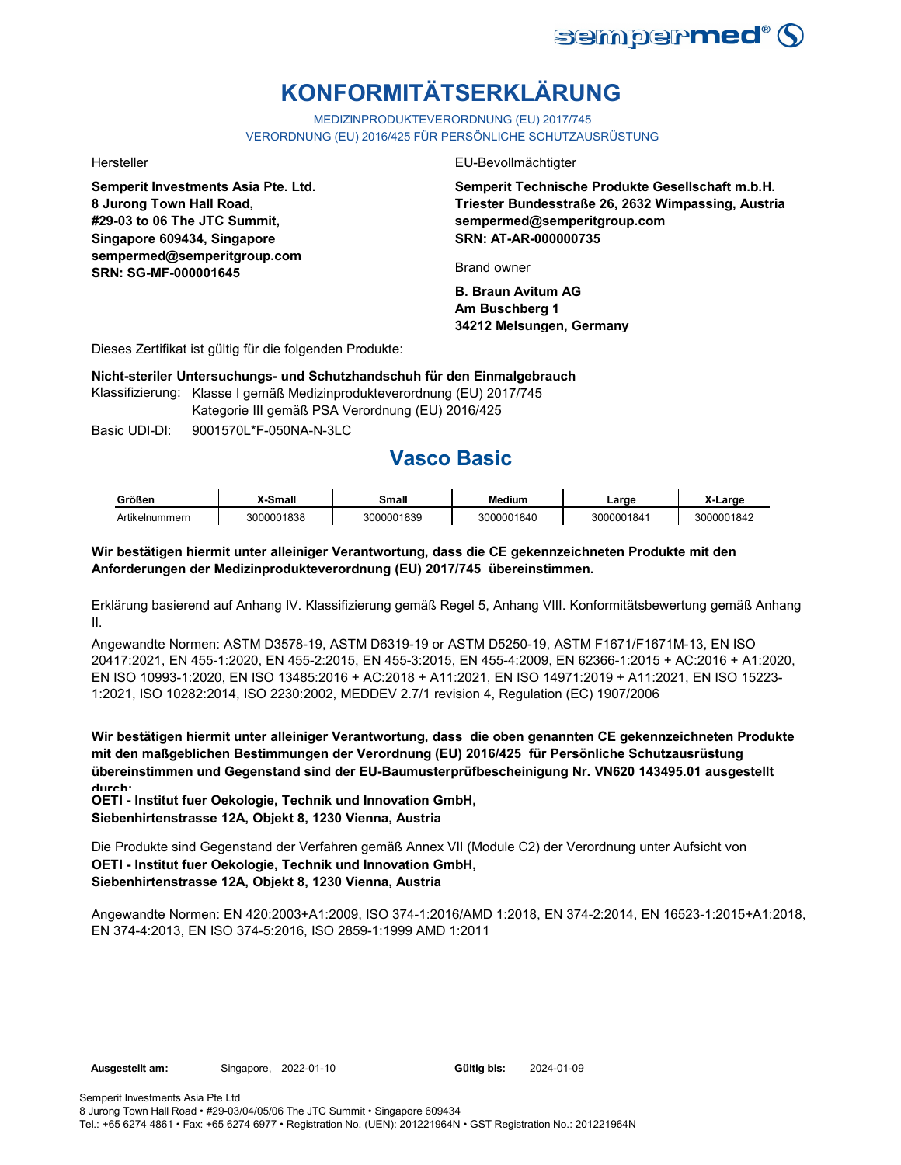

# **KONFORMITÄTSERKLÄRUNG**

MEDIZINPRODUKTEVERORDNUNG (EU) 2017/745

VERORDNUNG (EU) 2016/425 FÜR PERSÖNLICHE SCHUTZAUSRÜSTUNG

**Semperit Investments Asia Pte. Ltd. 8 Jurong Town Hall Road, #29-03 to 06 The JTC Summit, Singapore 609434, Singapore sempermed@semperitgroup.com SRN: SG-MF-000001645**

Hersteller EU-Bevollmächtigter

**Semperit Technische Produkte Gesellschaft m.b.H. Triester Bundesstraße 26, 2632 Wimpassing, Austria sempermed@semperitgroup.com SRN: AT-AR-000000735**

Brand owner

**B. Braun Avitum AG Am Buschberg 1 34212 Melsungen, Germany**

Dieses Zertifikat ist gültig für die folgenden Produkte:

**Nicht-steriler Untersuchungs- und Schutzhandschuh für den Einmalgebrauch**

Klassifizierung: Klasse I gemäß Medizinprodukteverordnung (EU) 2017/745 Kategorie III gemäß PSA Verordnung (EU) 2016/425

Basic UDI-DI: 9001570L\*F-050NA-N-3LC 9001570L\*F-050NA-N

## **Vasco Basic**

| Größen         | -Small     | Small      | <b>Medium</b> | ∟arɑe      | X-Large    |
|----------------|------------|------------|---------------|------------|------------|
| Artikelnummern | 3000001838 | 3000001839 | 3000001840    | 3000001841 | 3000001842 |

### **Wir bestätigen hiermit unter alleiniger Verantwortung, dass die CE gekennzeichneten Produkte mit den Anforderungen der Medizinprodukteverordnung (EU) 2017/745 übereinstimmen.**

Erklärung basierend auf Anhang IV. Klassifizierung gemäß Regel 5, Anhang VIII. Konformitätsbewertung gemäß Anhang II.

Angewandte Normen: ASTM D3578-19, ASTM D6319-19 or ASTM D5250-19, ASTM F1671/F1671M-13, EN ISO 20417:2021, EN 455-1:2020, EN 455-2:2015, EN 455-3:2015, EN 455-4:2009, EN 62366-1:2015 + AC:2016 + A1:2020, EN ISO 10993-1:2020, EN ISO 13485:2016 + AC:2018 + A11:2021, EN ISO 14971:2019 + A11:2021, EN ISO 15223- 1:2021, ISO 10282:2014, ISO 2230:2002, MEDDEV 2.7/1 revision 4, Regulation (EC) 1907/2006

**Wir bestätigen hiermit unter alleiniger Verantwortung, dass die oben genannten CE gekennzeichneten Produkte mit den maßgeblichen Bestimmungen der Verordnung (EU) 2016/425 für Persönliche Schutzausrüstung übereinstimmen und Gegenstand sind der EU-Baumusterprüfbescheinigung Nr. VN620 143495.01 ausgestellt durch:**

**OETI - Institut fuer Oekologie, Technik und Innovation GmbH, Siebenhirtenstrasse 12A, Objekt 8, 1230 Vienna, Austria**

Die Produkte sind Gegenstand der Verfahren gemäß Annex VII (Module C2) der Verordnung unter Aufsicht von **OETI - Institut fuer Oekologie, Technik und Innovation GmbH, Siebenhirtenstrasse 12A, Objekt 8, 1230 Vienna, Austria**

Angewandte Normen: EN 420:2003+A1:2009, ISO 374-1:2016/AMD 1:2018, EN 374-2:2014, EN 16523-1:2015+A1:2018, EN 374-4:2013, EN ISO 374-5:2016, ISO 2859-1:1999 AMD 1:2011

2024-01-09

Tel.: +65 6274 4861 • Fax: +65 6274 6977 • Registration No. (UEN): 201221964N • GST Registration No.: 201221964N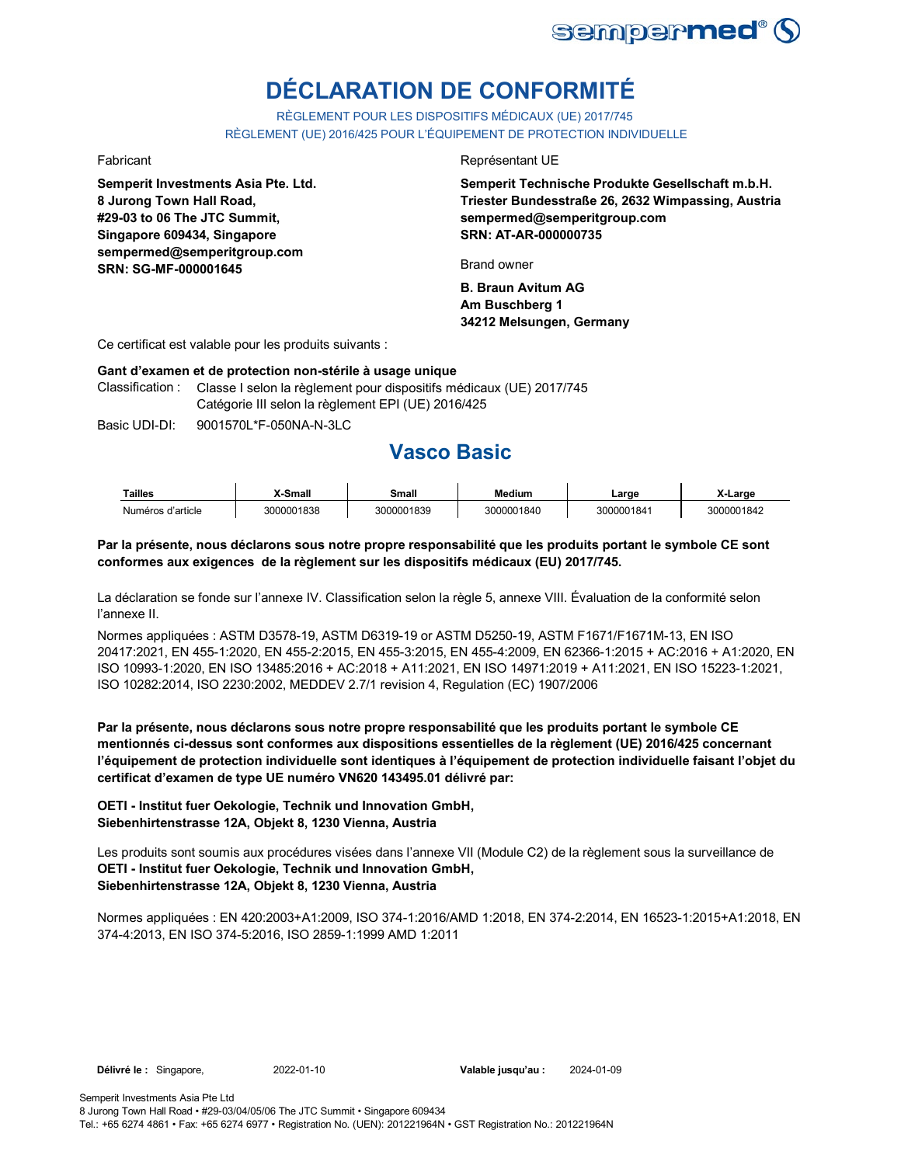

# **DÉCLARATION DE CONFORMITÉ**

RÈGLEMENT POUR LES DISPOSITIFS MÉDICAUX (UE) 2017/745 RÈGLEMENT (UE) 2016/425 POUR L'ÉQUIPEMENT DE PROTECTION INDIVIDUELLE

**Semperit Investments Asia Pte. Ltd. 8 Jurong Town Hall Road, #29-03 to 06 The JTC Summit, Singapore 609434, Singapore sempermed@semperitgroup.com SRN: SG-MF-000001645**

#### Fabricant **Exercise Exercise Exercise Exercise Exercise Exercise Exercise Exercise Exercise Exercise Exercise Exercise Exercise Exercise Exercise Exercise Exercise Exercise Exercise Exercise Exercise Exercise Exercise Exer**

**Semperit Technische Produkte Gesellschaft m.b.H. Triester Bundesstraße 26, 2632 Wimpassing, Austria sempermed@semperitgroup.com SRN: AT-AR-000000735**

Brand owner

**B. Braun Avitum AG Am Buschberg 1 34212 Melsungen, Germany**

Ce certificat est valable pour les produits suivants :

#### **Gant d'examen et de protection non-stérile à usage unique**

Classification : Classe I selon la règlement pour dispositifs médicaux (UE) 2017/745 Catégorie III selon la règlement EPI (UE) 2016/425

Basic UDI-DI: 9001570L\*F-050NA-N-3LC 9001570L\*F-050NA-N

## **Vasco Basic**

| Tailles           | X-Small    | Small      | Medium     | ∟arɑe      | X-Large    |
|-------------------|------------|------------|------------|------------|------------|
| Numéros d'article | 3000001838 | 3000001839 | 3000001840 | 3000001841 | 3000001842 |

### **Par la présente, nous déclarons sous notre propre responsabilité que les produits portant le symbole CE sont conformes aux exigences de la règlement sur les dispositifs médicaux (EU) 2017/745.**

La déclaration se fonde sur l'annexe IV. Classification selon la règle 5, annexe VIII. Évaluation de la conformité selon l'annexe II.

Normes appliquées : ASTM D3578-19, ASTM D6319-19 or ASTM D5250-19, ASTM F1671/F1671M-13, EN ISO 20417:2021, EN 455-1:2020, EN 455-2:2015, EN 455-3:2015, EN 455-4:2009, EN 62366-1:2015 + AC:2016 + A1:2020, EN ISO 10993-1:2020, EN ISO 13485:2016 + AC:2018 + A11:2021, EN ISO 14971:2019 + A11:2021, EN ISO 15223-1:2021, ISO 10282:2014, ISO 2230:2002, MEDDEV 2.7/1 revision 4, Regulation (EC) 1907/2006

**Par la présente, nous déclarons sous notre propre responsabilité que les produits portant le symbole CE mentionnés ci-dessus sont conformes aux dispositions essentielles de la règlement (UE) 2016/425 concernant l'équipement de protection individuelle sont identiques à l'équipement de protection individuelle faisant l'objet du certificat d'examen de type UE numéro VN620 143495.01 délivré par:**

**OETI - Institut fuer Oekologie, Technik und Innovation GmbH, Siebenhirtenstrasse 12A, Objekt 8, 1230 Vienna, Austria**

Les produits sont soumis aux procédures visées dans l'annexe VII (Module C2) de la règlement sous la surveillance de **OETI - Institut fuer Oekologie, Technik und Innovation GmbH, Siebenhirtenstrasse 12A, Objekt 8, 1230 Vienna, Austria**

Normes appliquées : EN 420:2003+A1:2009, ISO 374-1:2016/AMD 1:2018, EN 374-2:2014, EN 16523-1:2015+A1:2018, EN 374-4:2013, EN ISO 374-5:2016, ISO 2859-1:1999 AMD 1:2011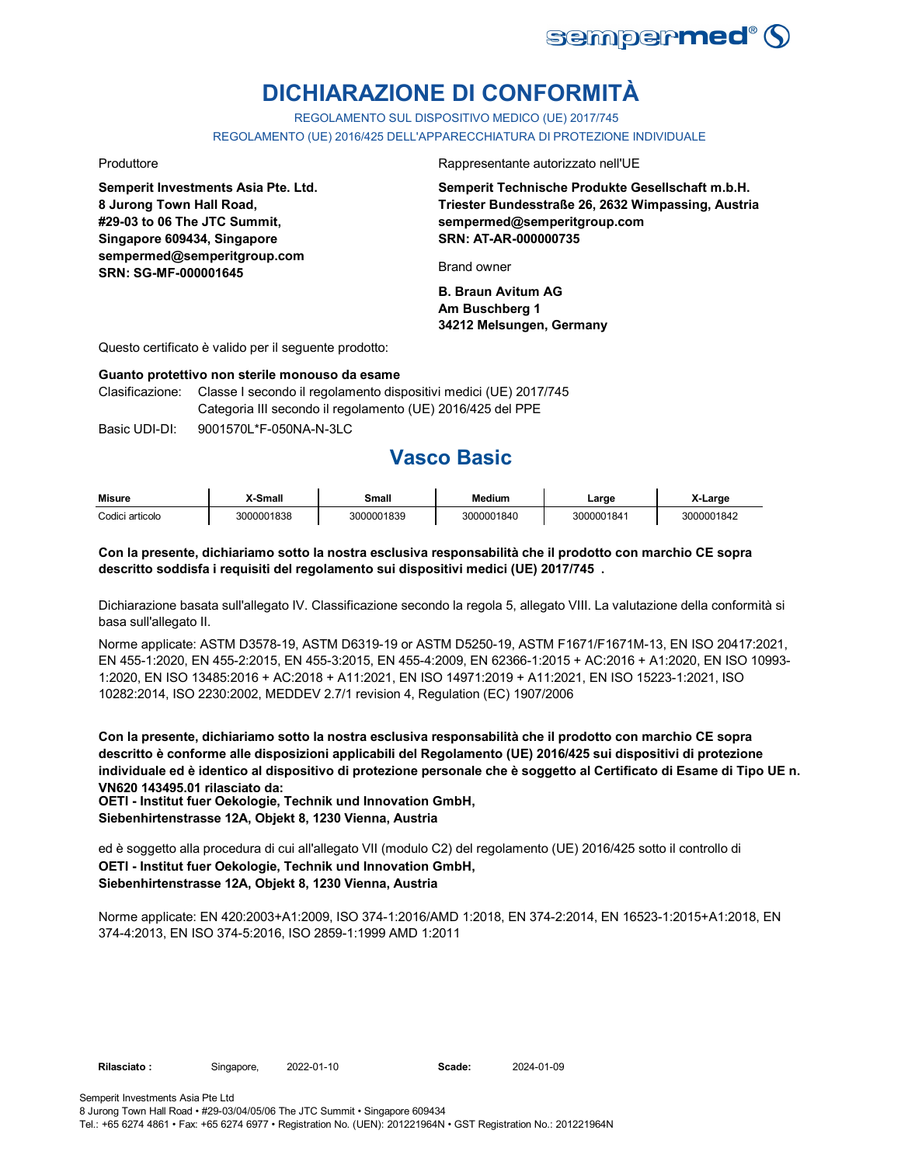

# **DICHIARAZIONE DI CONFORMITÀ**

REGOLAMENTO SUL DISPOSITIVO MEDICO (UE) 2017/745 REGOLAMENTO (UE) 2016/425 DELL'APPARECCHIATURA DI PROTEZIONE INDIVIDUALE

**Semperit Investments Asia Pte. Ltd. 8 Jurong Town Hall Road, #29-03 to 06 The JTC Summit, Singapore 609434, Singapore sempermed@semperitgroup.com SRN: SG-MF-000001645**

Produttore Rappresentante autorizzato nell'UE

**Semperit Technische Produkte Gesellschaft m.b.H. Triester Bundesstraße 26, 2632 Wimpassing, Austria sempermed@semperitgroup.com SRN: AT-AR-000000735**

Brand owner

**B. Braun Avitum AG Am Buschberg 1 34212 Melsungen, Germany**

Questo certificato è valido per il seguente prodotto:

#### **Guanto protettivo non sterile monouso da esame**

Clasificazione: Classe I secondo il regolamento dispositivi medici (UE) 2017/745 Categoria III secondo il regolamento (UE) 2016/425 del PPE

Basic UDI-DI: 9001570L\*F-050NA-N-3LC 9001570L\*F-050NA-N-3L

## **Vasco Basic**

| <b>Misure</b>   | X-Small    | Small      | <b>Medium</b> | Large      | X-Large    |
|-----------------|------------|------------|---------------|------------|------------|
| Codici articolo | 3000001838 | 3000001839 | 3000001840    | 3000001841 | 3000001842 |

### **Con la presente, dichiariamo sotto la nostra esclusiva responsabilità che il prodotto con marchio CE sopra descritto soddisfa i requisiti del regolamento sui dispositivi medici (UE) 2017/745 .**

Dichiarazione basata sull'allegato IV. Classificazione secondo la regola 5, allegato VIII. La valutazione della conformità si basa sull'allegato II.

Norme applicate: ASTM D3578-19, ASTM D6319-19 or ASTM D5250-19, ASTM F1671/F1671M-13, EN ISO 20417:2021, EN 455-1:2020, EN 455-2:2015, EN 455-3:2015, EN 455-4:2009, EN 62366-1:2015 + AC:2016 + A1:2020, EN ISO 10993- 1:2020, EN ISO 13485:2016 + AC:2018 + A11:2021, EN ISO 14971:2019 + A11:2021, EN ISO 15223-1:2021, ISO 10282:2014, ISO 2230:2002, MEDDEV 2.7/1 revision 4, Regulation (EC) 1907/2006

**Con la presente, dichiariamo sotto la nostra esclusiva responsabilità che il prodotto con marchio CE sopra descritto è conforme alle disposizioni applicabili del Regolamento (UE) 2016/425 sui dispositivi di protezione individuale ed è identico al dispositivo di protezione personale che è soggetto al Certificato di Esame di Tipo UE n. VN620 143495.01 rilasciato da:**

**OETI - Institut fuer Oekologie, Technik und Innovation GmbH, Siebenhirtenstrasse 12A, Objekt 8, 1230 Vienna, Austria**

ed è soggetto alla procedura di cui all'allegato VII (modulo C2) del regolamento (UE) 2016/425 sotto il controllo di **OETI - Institut fuer Oekologie, Technik und Innovation GmbH, Siebenhirtenstrasse 12A, Objekt 8, 1230 Vienna, Austria**

Norme applicate: EN 420:2003+A1:2009, ISO 374-1:2016/AMD 1:2018, EN 374-2:2014, EN 16523-1:2015+A1:2018, EN 374-4:2013, EN ISO 374-5:2016, ISO 2859-1:1999 AMD 1:2011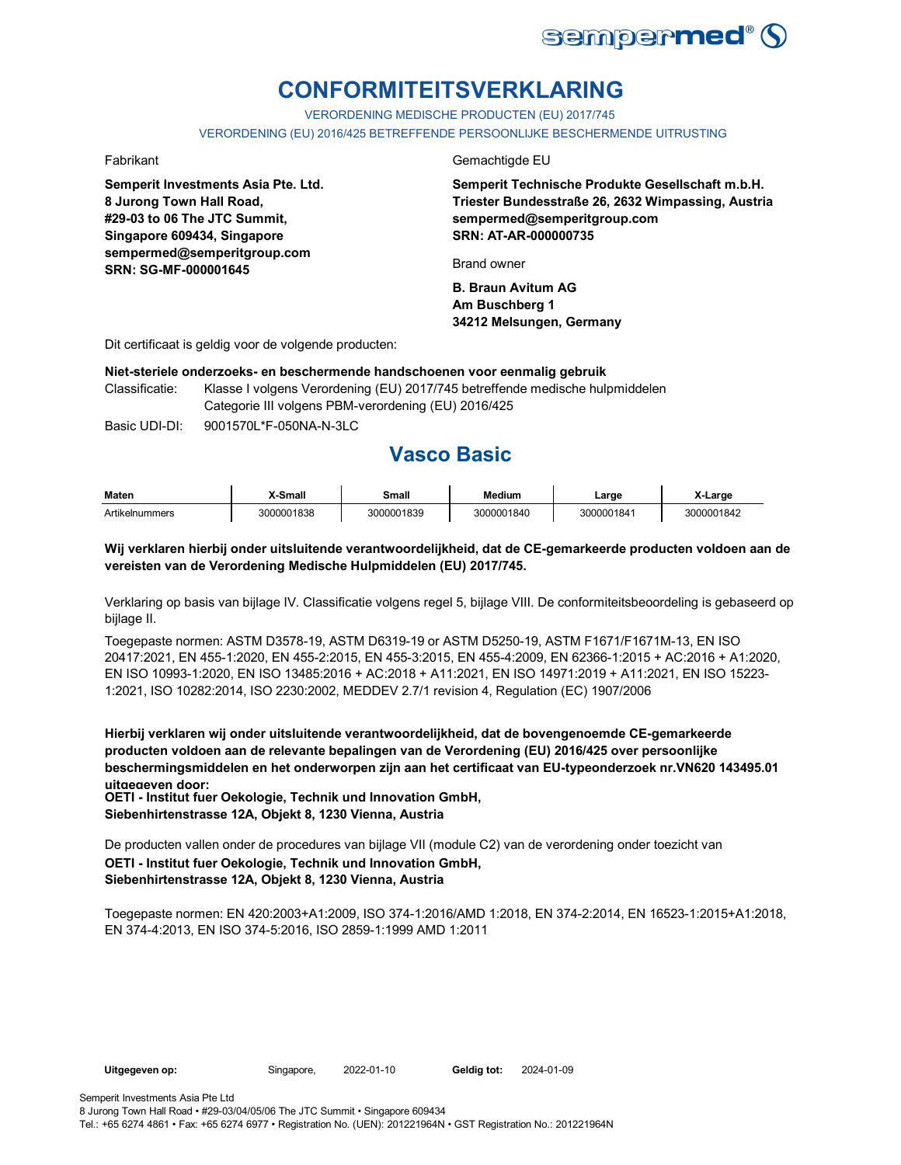

# **CONFORMITEITSVERKLARING**

VERORDENING MEDISCHE PRODUCTEN (EU) 2017/745

VERORDENING (EU) 2016/425 BETREFFENDE PERSOONLIJKE BESCHERMENDE UITRUSTING

**Semperit Investments Asia Pte. Ltd. 8 Jurong Town Hall Road, #29-03 to 06 The JTC Summit, Singapore 609434, Singapore sempermed@semperitgroup.com SRN: SG-MF-000001645**

#### Fabrikant Gemachtigde EU

**Semperit Technische Produkte Gesellschaft m.b.H. Triester Bundesstraße 26, 2632 Wimpassing, Austria sempermed@semperitgroup.com SRN: AT-AR-000000735**

Brand owner

**B. Braun Avitum AG Am Buschberg 1 34212 Melsungen, Germany**

Dit certificaat is geldig voor de volgende producten:

#### **Niet-steriele onderzoeks- en beschermende handschoenen voor eenmalig gebruik**

Classificatie: Klasse I volgens Verordening (EU) 2017/745 betreffende medische hulpmiddelen Categorie III volgens PBM-verordening (EU) 2016/425

Basic UDI-DI: 9001570L\*F-050NA-N-3LC 9001570L\*F-050NA-N-3

## **Vasco Basic**

| <b>Maten</b>   | <b>X-Small</b> | Small      | Medium     | ∟arge      | X-Large    |
|----------------|----------------|------------|------------|------------|------------|
| Artikelnummers | 3000001838     | 3000001839 | 3000001840 | 3000001841 | 3000001842 |

### **Wij verklaren hierbij onder uitsluitende verantwoordelijkheid, dat de CE-gemarkeerde producten voldoen aan de vereisten van de Verordening Medische Hulpmiddelen (EU) 2017/745.**

Verklaring op basis van bijlage IV. Classificatie volgens regel 5, bijlage VIII. De conformiteitsbeoordeling is gebaseerd op bijlage II.

Toegepaste normen: ASTM D3578-19, ASTM D6319-19 or ASTM D5250-19, ASTM F1671/F1671M-13, EN ISO 20417:2021, EN 455-1:2020, EN 455-2:2015, EN 455-3:2015, EN 455-4:2009, EN 62366-1:2015 + AC:2016 + A1:2020, EN ISO 10993-1:2020, EN ISO 13485:2016 + AC:2018 + A11:2021, EN ISO 14971:2019 + A11:2021, EN ISO 15223- 1:2021, ISO 10282:2014, ISO 2230:2002, MEDDEV 2.7/1 revision 4, Regulation (EC) 1907/2006

**Hierbij verklaren wij onder uitsluitende verantwoordelijkheid, dat de bovengenoemde CE-gemarkeerde producten voldoen aan de relevante bepalingen van de Verordening (EU) 2016/425 over persoonlijke beschermingsmiddelen en het onderworpen zijn aan het certificaat van EU-typeonderzoek nr.VN620 143495.01 uitgegeven door:**

**OETI - Institut fuer Oekologie, Technik und Innovation GmbH, Siebenhirtenstrasse 12A, Objekt 8, 1230 Vienna, Austria**

De producten vallen onder de procedures van bijlage VII (module C2) van de verordening onder toezicht van **OETI - Institut fuer Oekologie, Technik und Innovation GmbH, Siebenhirtenstrasse 12A, Objekt 8, 1230 Vienna, Austria**

Toegepaste normen: EN 420:2003+A1:2009, ISO 374-1:2016/AMD 1:2018, EN 374-2:2014, EN 16523-1:2015+A1:2018, EN 374-4:2013, EN ISO 374-5:2016, ISO 2859-1:1999 AMD 1:2011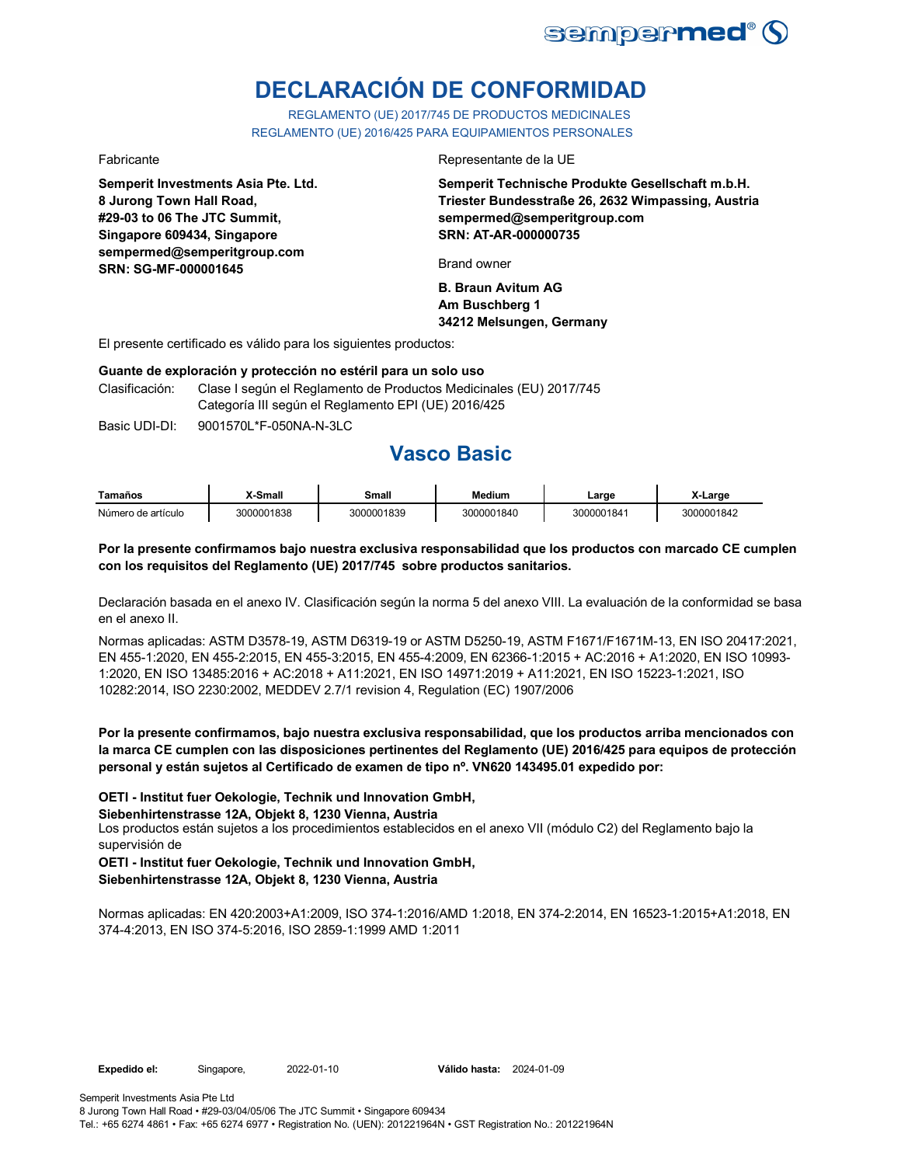

# **DECLARACIÓN DE CONFORMIDAD**

REGLAMENTO (UE) 2017/745 DE PRODUCTOS MEDICINALES REGLAMENTO (UE) 2016/425 PARA EQUIPAMIENTOS PERSONALES

### Fabricante Representante de la UE

**Semperit Investments Asia Pte. Ltd. 8 Jurong Town Hall Road, #29-03 to 06 The JTC Summit, Singapore 609434, Singapore sempermed@semperitgroup.com SRN: SG-MF-000001645**

**Semperit Technische Produkte Gesellschaft m.b.H. Triester Bundesstraße 26, 2632 Wimpassing, Austria sempermed@semperitgroup.com SRN: AT-AR-000000735**

Brand owner

**B. Braun Avitum AG Am Buschberg 1 34212 Melsungen, Germany**

El presente certificado es válido para los siguientes productos:

#### **Guante de exploración y protección no estéril para un solo uso**

Clasificación: Clase I según el Reglamento de Productos Medicinales (EU) 2017/745 Categoría III según el Reglamento EPI (UE) 2016/425

Basic UDI-DI: 9001570L\*F-050NA-N-3LC

## **Vasco Basic**

| Tamaños            | X-Small    | Small      | Medium     | Large      | X-Large    |
|--------------------|------------|------------|------------|------------|------------|
| Número de artículo | 3000001838 | 3000001839 | 3000001840 | 3000001841 | 3000001842 |

### **Por la presente confirmamos bajo nuestra exclusiva responsabilidad que los productos con marcado CE cumplen con los requisitos del Reglamento (UE) 2017/745 sobre productos sanitarios.**

Declaración basada en el anexo IV. Clasificación según la norma 5 del anexo VIII. La evaluación de la conformidad se basa en el anexo II.

Normas aplicadas: ASTM D3578-19, ASTM D6319-19 or ASTM D5250-19, ASTM F1671/F1671M-13, EN ISO 20417:2021, EN 455-1:2020, EN 455-2:2015, EN 455-3:2015, EN 455-4:2009, EN 62366-1:2015 + AC:2016 + A1:2020, EN ISO 10993- 1:2020, EN ISO 13485:2016 + AC:2018 + A11:2021, EN ISO 14971:2019 + A11:2021, EN ISO 15223-1:2021, ISO 10282:2014, ISO 2230:2002, MEDDEV 2.7/1 revision 4, Regulation (EC) 1907/2006

**Por la presente confirmamos, bajo nuestra exclusiva responsabilidad, que los productos arriba mencionados con la marca CE cumplen con las disposiciones pertinentes del Reglamento (UE) 2016/425 para equipos de protección personal y están sujetos al Certificado de examen de tipo nº. VN620 143495.01 expedido por:**

**OETI - Institut fuer Oekologie, Technik und Innovation GmbH,** 

**Siebenhirtenstrasse 12A, Objekt 8, 1230 Vienna, Austria**

Los productos están sujetos a los procedimientos establecidos en el anexo VII (módulo C2) del Reglamento bajo la supervisión de

**OETI - Institut fuer Oekologie, Technik und Innovation GmbH, Siebenhirtenstrasse 12A, Objekt 8, 1230 Vienna, Austria**

Normas aplicadas: EN 420:2003+A1:2009, ISO 374-1:2016/AMD 1:2018, EN 374-2:2014, EN 16523-1:2015+A1:2018, EN 374-4:2013, EN ISO 374-5:2016, ISO 2859-1:1999 AMD 1:2011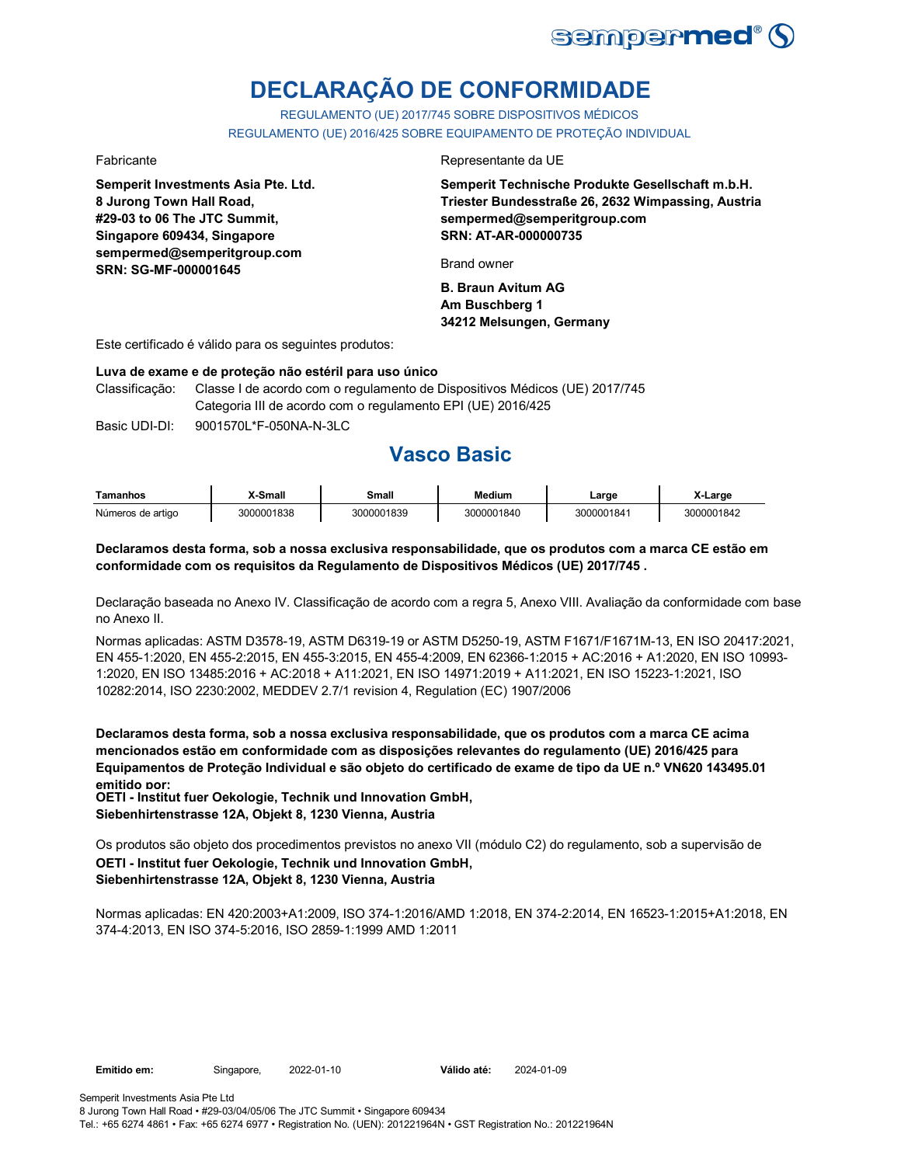

# **DECLARAÇÃO DE CONFORMIDADE**

REGULAMENTO (UE) 2017/745 SOBRE DISPOSITIVOS MÉDICOS REGULAMENTO (UE) 2016/425 SOBRE EQUIPAMENTO DE PROTEÇÃO INDIVIDUAL

**Semperit Investments Asia Pte. Ltd. 8 Jurong Town Hall Road, #29-03 to 06 The JTC Summit, Singapore 609434, Singapore sempermed@semperitgroup.com SRN: SG-MF-000001645**

#### Fabricante Representante da UE

**Semperit Technische Produkte Gesellschaft m.b.H. Triester Bundesstraße 26, 2632 Wimpassing, Austria sempermed@semperitgroup.com SRN: AT-AR-000000735**

Brand owner

**B. Braun Avitum AG Am Buschberg 1 34212 Melsungen, Germany**

Este certificado é válido para os seguintes produtos:

#### **Luva de exame e de proteção não estéril para uso único**

Classificação: Classe I de acordo com o regulamento de Dispositivos Médicos (UE) 2017/745 Categoria III de acordo com o regulamento EPI (UE) 2016/425

Basic UDI-DI: 9001570L\*F-050NA-N-3LC 9001570L\*F-050NA-N-3L

## **Vasco Basic**

| Tamanhos          | X-Small    | Small      | <b>Medium</b> | ∟arge      | X-Large    |
|-------------------|------------|------------|---------------|------------|------------|
| Números de artigo | 3000001838 | 3000001839 | 3000001840    | 3000001841 | 3000001842 |

### **Declaramos desta forma, sob a nossa exclusiva responsabilidade, que os produtos com a marca CE estão em conformidade com os requisitos da Regulamento de Dispositivos Médicos (UE) 2017/745 .**

Declaração baseada no Anexo IV. Classificação de acordo com a regra 5, Anexo VIII. Avaliação da conformidade com base no Anexo II.

Normas aplicadas: ASTM D3578-19, ASTM D6319-19 or ASTM D5250-19, ASTM F1671/F1671M-13, EN ISO 20417:2021, EN 455-1:2020, EN 455-2:2015, EN 455-3:2015, EN 455-4:2009, EN 62366-1:2015 + AC:2016 + A1:2020, EN ISO 10993- 1:2020, EN ISO 13485:2016 + AC:2018 + A11:2021, EN ISO 14971:2019 + A11:2021, EN ISO 15223-1:2021, ISO 10282:2014, ISO 2230:2002, MEDDEV 2.7/1 revision 4, Regulation (EC) 1907/2006

**Declaramos desta forma, sob a nossa exclusiva responsabilidade, que os produtos com a marca CE acima mencionados estão em conformidade com as disposições relevantes do regulamento (UE) 2016/425 para Equipamentos de Proteção Individual e são objeto do certificado de exame de tipo da UE n.º VN620 143495.01 emitido por:**

**OETI - Institut fuer Oekologie, Technik und Innovation GmbH, Siebenhirtenstrasse 12A, Objekt 8, 1230 Vienna, Austria**

Os produtos são objeto dos procedimentos previstos no anexo VII (módulo C2) do regulamento, sob a supervisão de **OETI - Institut fuer Oekologie, Technik und Innovation GmbH, Siebenhirtenstrasse 12A, Objekt 8, 1230 Vienna, Austria**

Normas aplicadas: EN 420:2003+A1:2009, ISO 374-1:2016/AMD 1:2018, EN 374-2:2014, EN 16523-1:2015+A1:2018, EN 374-4:2013, EN ISO 374-5:2016, ISO 2859-1:1999 AMD 1:2011

Válido até: 2024-01-09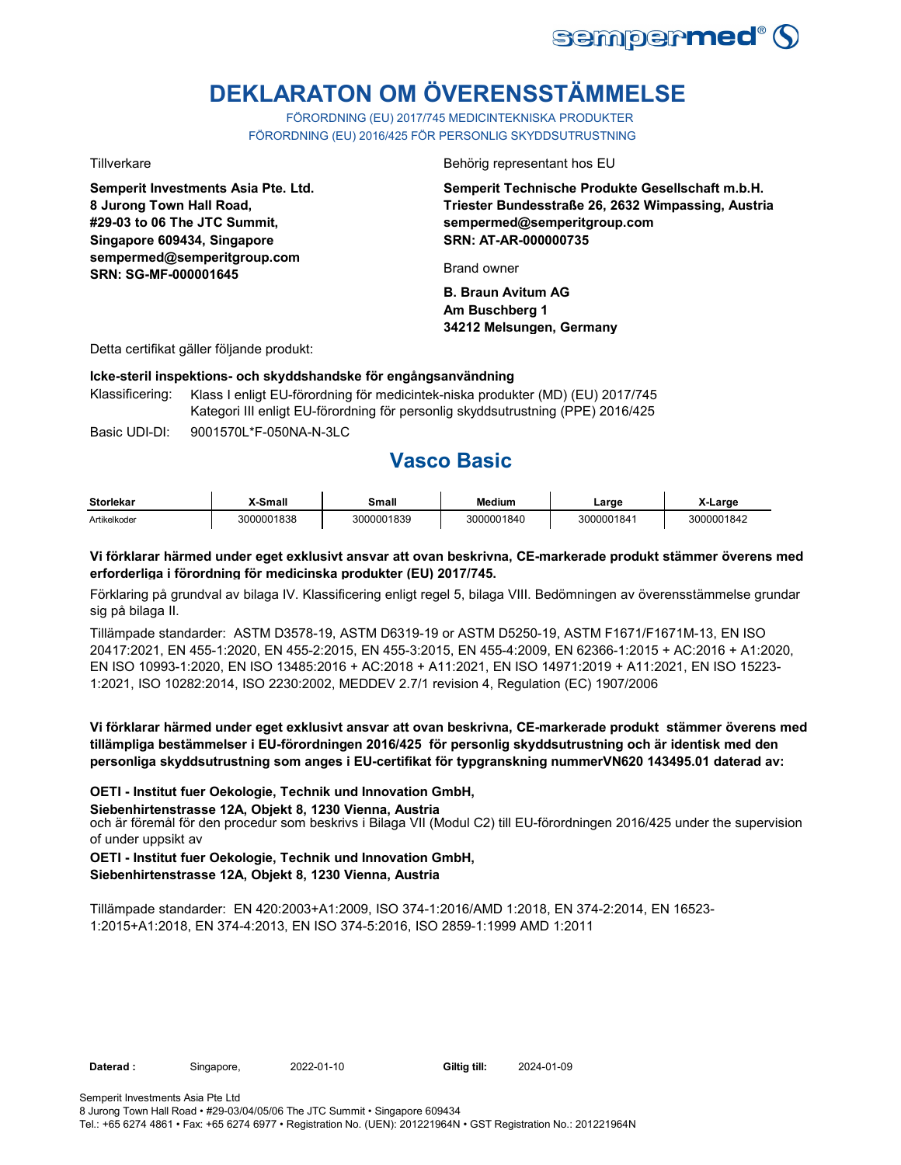

# **DEKLARATON OM ÖVERENSSTÄMMELSE**

FÖRORDNING (EU) 2017/745 MEDICINTEKNISKA PRODUKTER FÖRORDNING (EU) 2016/425 FÖR PERSONLIG SKYDDSUTRUSTNING

**Semperit Investments Asia Pte. Ltd. 8 Jurong Town Hall Road, #29-03 to 06 The JTC Summit, Singapore 609434, Singapore sempermed@semperitgroup.com SRN: SG-MF-000001645**

Tillverkare Behörig representant hos EU

**Semperit Technische Produkte Gesellschaft m.b.H. Triester Bundesstraße 26, 2632 Wimpassing, Austria sempermed@semperitgroup.com SRN: AT-AR-000000735**

Brand owner

**B. Braun Avitum AG Am Buschberg 1 34212 Melsungen, Germany**

Detta certifikat gäller följande produkt:

#### **Icke-steril inspektions- och skyddshandske för engångsanvändning**

Basic UDI-DI: 9001570L\*F-050NA-N-3LC 9001570L\*F-050NA-N-3L Klassificering: Klass I enligt EU-förordning för medicintek-niska produkter (MD) (EU) 2017/745 Kategori III enligt EU-förordning för personlig skyddsutrustning (PPE) 2016/425

**Vasco Basic**

| <b>Storlekar</b> | X-Small    | Small      | <b>Medium</b> | ∟arge      | X-Large    |
|------------------|------------|------------|---------------|------------|------------|
| Artikelkoder     | 3000001838 | 3000001839 | 3000001840    | 3000001841 | 3000001842 |

### **Vi förklarar härmed under eget exklusivt ansvar att ovan beskrivna, CE-markerade produkt stämmer överens med erforderliga i förordning för medicinska produkter (EU) 2017/745.**

Förklaring på grundval av bilaga IV. Klassificering enligt regel 5, bilaga VIII. Bedömningen av överensstämmelse grundar sig på bilaga II.

Tillämpade standarder: ASTM D3578-19, ASTM D6319-19 or ASTM D5250-19, ASTM F1671/F1671M-13, EN ISO 20417:2021, EN 455-1:2020, EN 455-2:2015, EN 455-3:2015, EN 455-4:2009, EN 62366-1:2015 + AC:2016 + A1:2020, EN ISO 10993-1:2020, EN ISO 13485:2016 + AC:2018 + A11:2021, EN ISO 14971:2019 + A11:2021, EN ISO 15223- 1:2021, ISO 10282:2014, ISO 2230:2002, MEDDEV 2.7/1 revision 4, Regulation (EC) 1907/2006

**Vi förklarar härmed under eget exklusivt ansvar att ovan beskrivna, CE-markerade produkt stämmer överens med tillämpliga bestämmelser i EU-förordningen 2016/425 för personlig skyddsutrustning och är identisk med den personliga skyddsutrustning som anges i EU-certifikat för typgranskning nummerVN620 143495.01 daterad av:**

#### **OETI - Institut fuer Oekologie, Technik und Innovation GmbH,**

#### **Siebenhirtenstrasse 12A, Objekt 8, 1230 Vienna, Austria**

och är föremål för den procedur som beskrivs i Bilaga VII (Modul C2) till EU-förordningen 2016/425 under the supervision of under uppsikt av

#### **OETI - Institut fuer Oekologie, Technik und Innovation GmbH, Siebenhirtenstrasse 12A, Objekt 8, 1230 Vienna, Austria**

Tillämpade standarder: EN 420:2003+A1:2009, ISO 374-1:2016/AMD 1:2018, EN 374-2:2014, EN 16523- 1:2015+A1:2018, EN 374-4:2013, EN ISO 374-5:2016, ISO 2859-1:1999 AMD 1:2011

Daterad : Singapore, 2022-01-10

Giltig till: 2024-01-09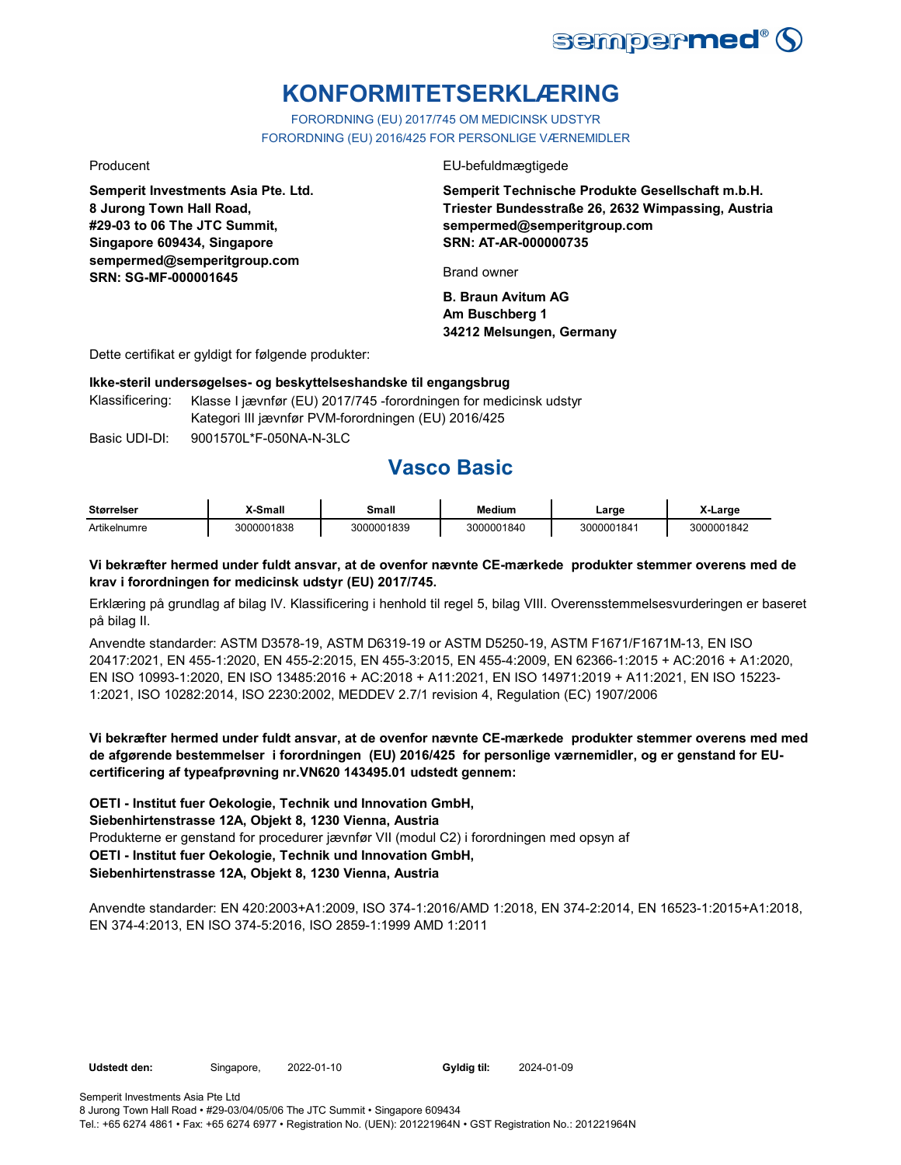

# **KONFORMITETSERKLÆRING**

FORORDNING (EU) 2017/745 OM MEDICINSK UDSTYR FORORDNING (EU) 2016/425 FOR PERSONLIGE VÆRNEMIDLER

**Semperit Investments Asia Pte. Ltd. 8 Jurong Town Hall Road, #29-03 to 06 The JTC Summit, Singapore 609434, Singapore sempermed@semperitgroup.com SRN: SG-MF-000001645**

Producent EU-befuldmægtigede

**Semperit Technische Produkte Gesellschaft m.b.H. Triester Bundesstraße 26, 2632 Wimpassing, Austria sempermed@semperitgroup.com SRN: AT-AR-000000735**

Brand owner

**B. Braun Avitum AG Am Buschberg 1 34212 Melsungen, Germany**

Dette certifikat er gyldigt for følgende produkter:

#### **Ikke-steril undersøgelses- og beskyttelseshandske til engangsbrug**

Klassificering: Klasse I jævnfør (EU) 2017/745 -forordningen for medicinsk udstyr Kategori III jævnfør PVM-forordningen (EU) 2016/425

Basic UDI-DI: 9001570L\*F-050NA-N-3LC 9001570L\*F-050NA-N-3L

## **Vasco Basic**

| <b>Størrelser</b> | X-Small    | Small      | <b>Medium</b> | _arɑe      | X-Large    |
|-------------------|------------|------------|---------------|------------|------------|
| Artikelnumre      | 3000001838 | 3000001839 | 3000001840    | 3000001841 | 3000001842 |

#### **Vi bekræfter hermed under fuldt ansvar, at de ovenfor nævnte CE-mærkede produkter stemmer overens med de krav i forordningen for medicinsk udstyr (EU) 2017/745.**

Erklæring på grundlag af bilag IV. Klassificering i henhold til regel 5, bilag VIII. Overensstemmelsesvurderingen er baseret på bilag II.

Anvendte standarder: ASTM D3578-19, ASTM D6319-19 or ASTM D5250-19, ASTM F1671/F1671M-13, EN ISO 20417:2021, EN 455-1:2020, EN 455-2:2015, EN 455-3:2015, EN 455-4:2009, EN 62366-1:2015 + AC:2016 + A1:2020, EN ISO 10993-1:2020, EN ISO 13485:2016 + AC:2018 + A11:2021, EN ISO 14971:2019 + A11:2021, EN ISO 15223- 1:2021, ISO 10282:2014, ISO 2230:2002, MEDDEV 2.7/1 revision 4, Regulation (EC) 1907/2006

**Vi bekræfter hermed under fuldt ansvar, at de ovenfor nævnte CE-mærkede produkter stemmer overens med med de afgørende bestemmelser i forordningen (EU) 2016/425 for personlige værnemidler, og er genstand for EUcertificering af typeafprøvning nr.VN620 143495.01 udstedt gennem:**

Produkterne er genstand for procedurer jævnfør VII (modul C2) i forordningen med opsyn af **OETI - Institut fuer Oekologie, Technik und Innovation GmbH, Siebenhirtenstrasse 12A, Objekt 8, 1230 Vienna, Austria OETI - Institut fuer Oekologie, Technik und Innovation GmbH, Siebenhirtenstrasse 12A, Objekt 8, 1230 Vienna, Austria**

Anvendte standarder: EN 420:2003+A1:2009, ISO 374-1:2016/AMD 1:2018, EN 374-2:2014, EN 16523-1:2015+A1:2018, EN 374-4:2013, EN ISO 374-5:2016, ISO 2859-1:1999 AMD 1:2011

Udstedt den: Singapore, 2022-01-10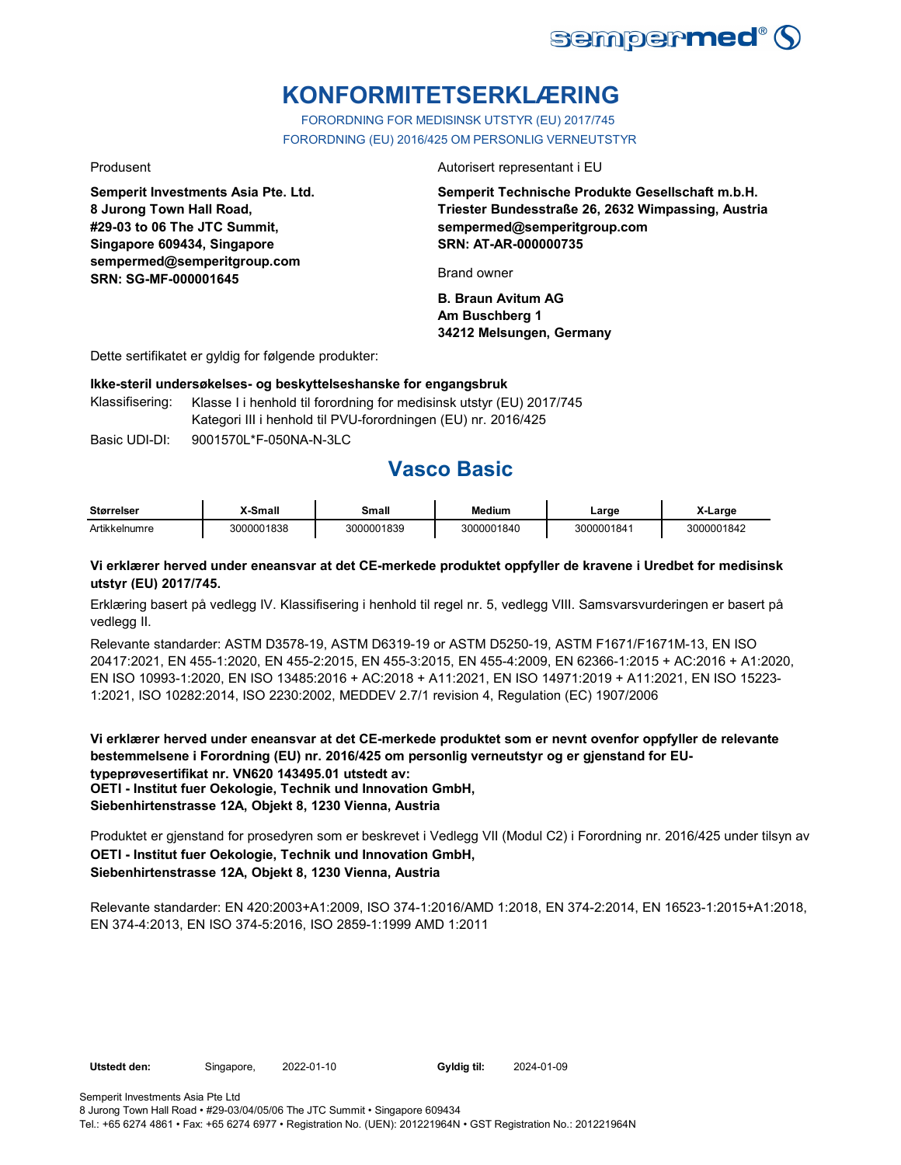

# **KONFORMITETSERKLÆRING**

FORORDNING FOR MEDISINSK UTSTYR (EU) 2017/745 FORORDNING (EU) 2016/425 OM PERSONLIG VERNEUTSTYR

**Semperit Investments Asia Pte. Ltd. 8 Jurong Town Hall Road, #29-03 to 06 The JTC Summit, Singapore 609434, Singapore sempermed@semperitgroup.com SRN: SG-MF-000001645**

Produsent **Autorisert representant i EU** 

**Semperit Technische Produkte Gesellschaft m.b.H. Triester Bundesstraße 26, 2632 Wimpassing, Austria sempermed@semperitgroup.com SRN: AT-AR-000000735**

Brand owner

**B. Braun Avitum AG Am Buschberg 1 34212 Melsungen, Germany**

Dette sertifikatet er gyldig for følgende produkter:

**Ikke-steril undersøkelses- og beskyttelseshanske for engangsbruk**

Klassifisering: Klasse I i henhold til forordning for medisinsk utstyr (EU) 2017/745 Kategori III i henhold til PVU-forordningen (EU) nr. 2016/425

Basic UDI-DI: 9001570L\*F-050NA-N-3LC 9001570L\*F-050NA-N-3L

# **Vasco Basic**

| <b>Størrelser</b> | X-Small    | Small      | Medium     | ∟arge      | X-Large    |
|-------------------|------------|------------|------------|------------|------------|
| Artikkelnumre     | 3000001838 | 3000001839 | 3000001840 | 3000001841 | 3000001842 |

#### **Vi erklærer herved under eneansvar at det CE-merkede produktet oppfyller de kravene i Uredbet for medisinsk utstyr (EU) 2017/745.**

Erklæring basert på vedlegg IV. Klassifisering i henhold til regel nr. 5, vedlegg VIII. Samsvarsvurderingen er basert på vedlegg II.

Relevante standarder: ASTM D3578-19, ASTM D6319-19 or ASTM D5250-19, ASTM F1671/F1671M-13, EN ISO 20417:2021, EN 455-1:2020, EN 455-2:2015, EN 455-3:2015, EN 455-4:2009, EN 62366-1:2015 + AC:2016 + A1:2020, EN ISO 10993-1:2020, EN ISO 13485:2016 + AC:2018 + A11:2021, EN ISO 14971:2019 + A11:2021, EN ISO 15223- 1:2021, ISO 10282:2014, ISO 2230:2002, MEDDEV 2.7/1 revision 4, Regulation (EC) 1907/2006

**Vi erklærer herved under eneansvar at det CE-merkede produktet som er nevnt ovenfor oppfyller de relevante bestemmelsene i Forordning (EU) nr. 2016/425 om personlig verneutstyr og er gjenstand for EUtypeprøvesertifikat nr. VN620 143495.01 utstedt av: OETI - Institut fuer Oekologie, Technik und Innovation GmbH, Siebenhirtenstrasse 12A, Objekt 8, 1230 Vienna, Austria**

Produktet er gjenstand for prosedyren som er beskrevet i Vedlegg VII (Modul C2) i Forordning nr. 2016/425 under tilsyn av **OETI - Institut fuer Oekologie, Technik und Innovation GmbH, Siebenhirtenstrasse 12A, Objekt 8, 1230 Vienna, Austria**

Relevante standarder: EN 420:2003+A1:2009, ISO 374-1:2016/AMD 1:2018, EN 374-2:2014, EN 16523-1:2015+A1:2018, EN 374-4:2013, EN ISO 374-5:2016, ISO 2859-1:1999 AMD 1:2011

Semperit Investments Asia Pte Ltd

8 Jurong Town Hall Road • #29-03/04/05/06 The JTC Summit • Singapore 609434 Tel.: +65 6274 4861 • Fax: +65 6274 6977 • Registration No. (UEN): 201221964N • GST Registration No.: 201221964N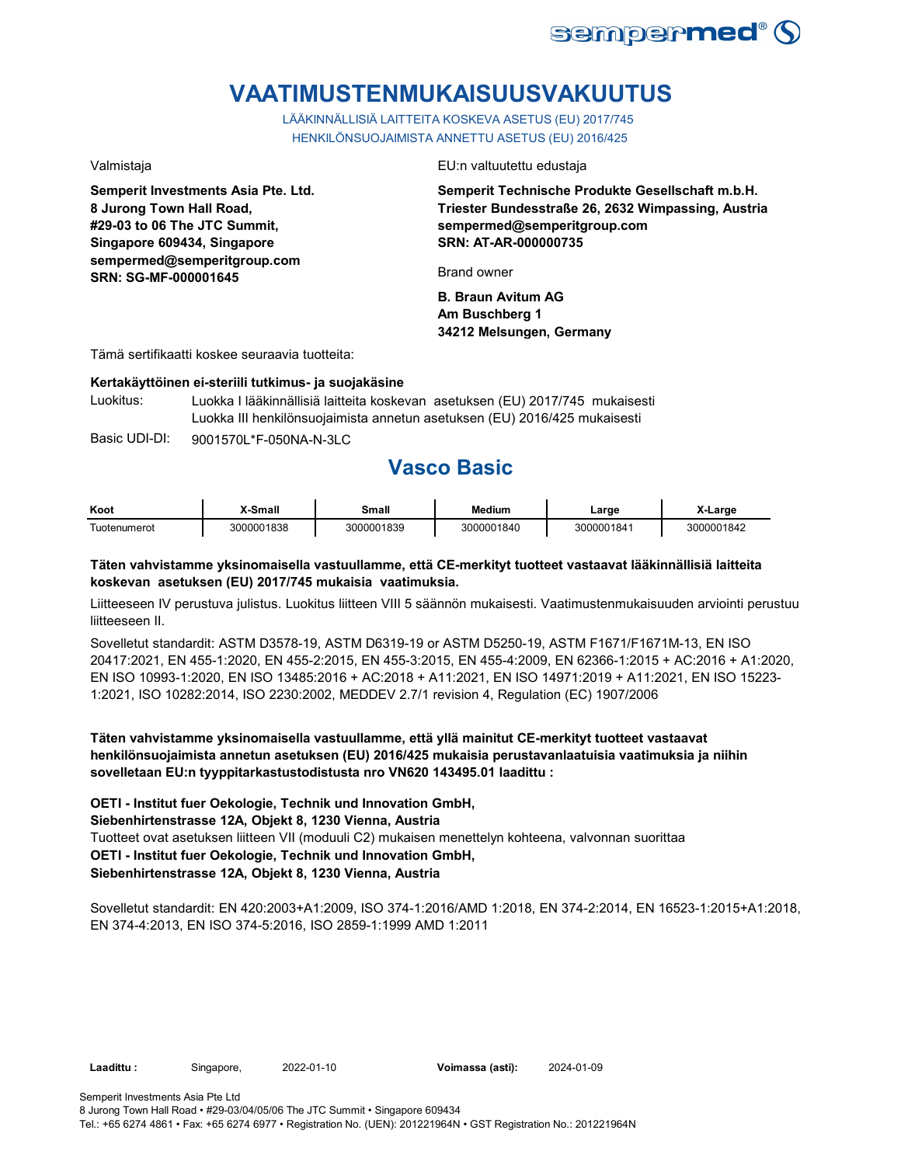

# **VAATIMUSTENMUKAISUUSVAKUUTUS**

LÄÄKINNÄLLISIÄ LAITTEITA KOSKEVA ASETUS (EU) 2017/745 HENKILÖNSUOJAIMISTA ANNETTU ASETUS (EU) 2016/425

**Semperit Investments Asia Pte. Ltd. 8 Jurong Town Hall Road, #29-03 to 06 The JTC Summit, Singapore 609434, Singapore sempermed@semperitgroup.com SRN: SG-MF-000001645**

Valmistaja EU:n valtuutettu edustaja

**Semperit Technische Produkte Gesellschaft m.b.H. Triester Bundesstraße 26, 2632 Wimpassing, Austria sempermed@semperitgroup.com SRN: AT-AR-000000735**

Brand owner

**B. Braun Avitum AG Am Buschberg 1 34212 Melsungen, Germany**

Tämä sertifikaatti koskee seuraavia tuotteita:

#### **Kertakäyttöinen ei-steriili tutkimus- ja suojakäsine**

Luokitus: Luokka I lääkinnällisiä laitteita koskevan asetuksen (EU) 2017/745 mukaisesti Luokka III henkilönsuojaimista annetun asetuksen (EU) 2016/425 mukaisesti

Basic UDI-DI: 9001570L\*F-050NA-N-3LC 9001570L\*F-050NA-N-3L

## **Vasco Basic**

| Koot          | X-Small    | Small      | <b>Medium</b> | Large      | X-Large    |
|---------------|------------|------------|---------------|------------|------------|
| ! uotenumerot | 3000001838 | 3000001839 | 3000001840    | 3000001841 | 3000001842 |

#### **Täten vahvistamme yksinomaisella vastuullamme, että CE-merkityt tuotteet vastaavat lääkinnällisiä laitteita koskevan asetuksen (EU) 2017/745 mukaisia vaatimuksia.**

Liitteeseen IV perustuva julistus. Luokitus liitteen VIII 5 säännön mukaisesti. Vaatimustenmukaisuuden arviointi perustuu liitteeseen II.

Sovelletut standardit: ASTM D3578-19, ASTM D6319-19 or ASTM D5250-19, ASTM F1671/F1671M-13, EN ISO 20417:2021, EN 455-1:2020, EN 455-2:2015, EN 455-3:2015, EN 455-4:2009, EN 62366-1:2015 + AC:2016 + A1:2020, EN ISO 10993-1:2020, EN ISO 13485:2016 + AC:2018 + A11:2021, EN ISO 14971:2019 + A11:2021, EN ISO 15223- 1:2021, ISO 10282:2014, ISO 2230:2002, MEDDEV 2.7/1 revision 4, Regulation (EC) 1907/2006

**Täten vahvistamme yksinomaisella vastuullamme, että yllä mainitut CE-merkityt tuotteet vastaavat henkilönsuojaimista annetun asetuksen (EU) 2016/425 mukaisia perustavanlaatuisia vaatimuksia ja niihin sovelletaan EU:n tyyppitarkastustodistusta nro VN620 143495.01 laadittu :**

**OETI - Institut fuer Oekologie, Technik und Innovation GmbH,** 

**Siebenhirtenstrasse 12A, Objekt 8, 1230 Vienna, Austria**

Tuotteet ovat asetuksen liitteen VII (moduuli C2) mukaisen menettelyn kohteena, valvonnan suorittaa **OETI - Institut fuer Oekologie, Technik und Innovation GmbH,** 

### **Siebenhirtenstrasse 12A, Objekt 8, 1230 Vienna, Austria**

Sovelletut standardit: EN 420:2003+A1:2009, ISO 374-1:2016/AMD 1:2018, EN 374-2:2014, EN 16523-1:2015+A1:2018, EN 374-4:2013, EN ISO 374-5:2016, ISO 2859-1:1999 AMD 1:2011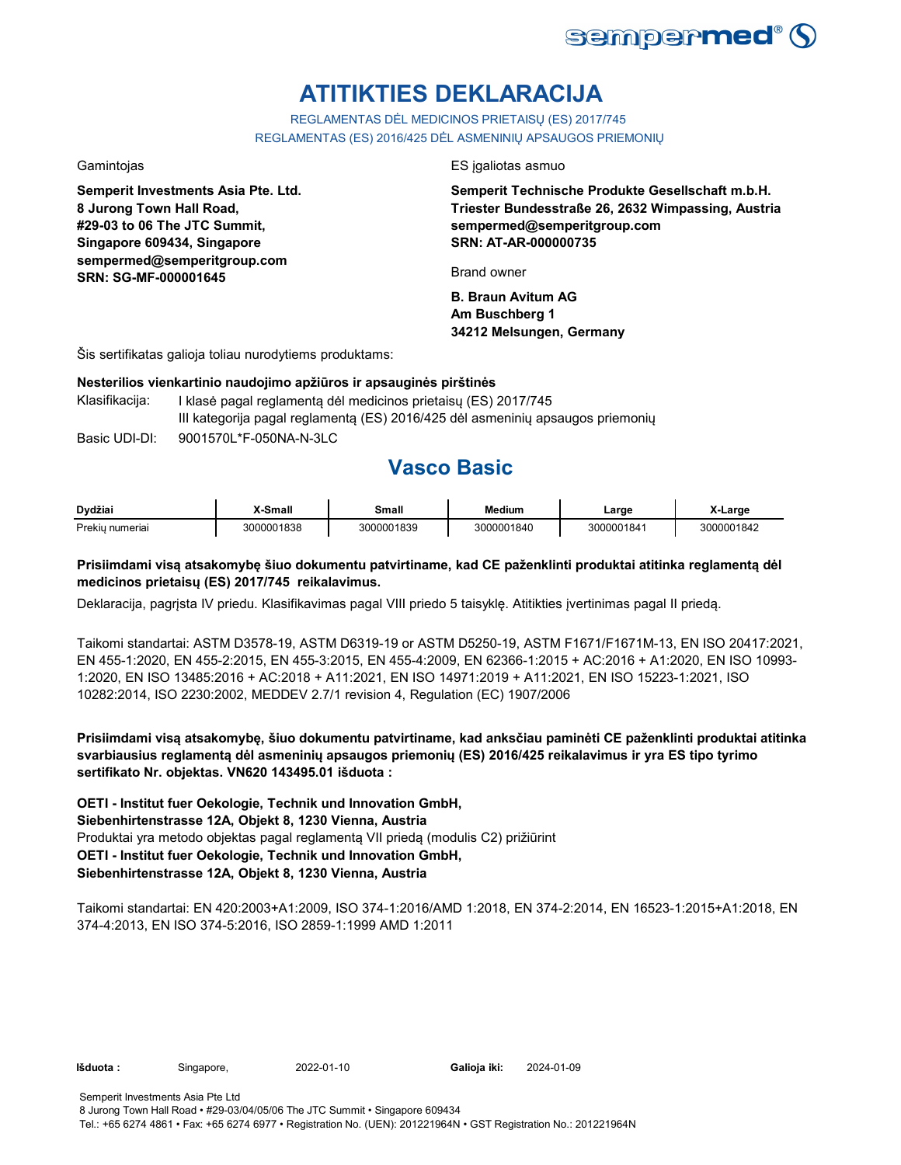

# **ATITIKTIES DEKLARACIJA**

REGLAMENTAS DĖL MEDICINOS PRIETAISŲ (ES) 2017/745 REGLAMENTAS (ES) 2016/425 DĖL ASMENINIŲ APSAUGOS PRIEMONIŲ

**Semperit Investments Asia Pte. Ltd. 8 Jurong Town Hall Road, #29-03 to 06 The JTC Summit, Singapore 609434, Singapore sempermed@semperitgroup.com SRN: SG-MF-000001645**

Gamintojas ES įgaliotas asmuo

**Semperit Technische Produkte Gesellschaft m.b.H. Triester Bundesstraße 26, 2632 Wimpassing, Austria sempermed@semperitgroup.com SRN: AT-AR-000000735**

Brand owner

**B. Braun Avitum AG Am Buschberg 1 34212 Melsungen, Germany**

Šis sertifikatas galioja toliau nurodytiems produktams:

#### **Nesterilios vienkartinio naudojimo apžiūros ir apsauginės pirštinės**

Basic UDI-DI: 9001570L\*F-050NA-N-3LC 9001570L\*F-050NA-N-3L Klasifikacija: I klasė pagal reglamentą dėl medicinos prietaisų (ES) 2017/745 III kategorija pagal reglamentą (ES) 2016/425 dėl asmeninių apsaugos priemonių

## **Vasco Basic**

| Dvdžiai             | Small      | Small      | Medium     | Large      | <b>∟arge</b> |
|---------------------|------------|------------|------------|------------|--------------|
| Prekiu.<br>าumeriai | 3000001838 | 3000001839 | 3000001840 | 3000001841 | 10001842     |

### **Prisiimdami visą atsakomybę šiuo dokumentu patvirtiname, kad CE paženklinti produktai atitinka reglamentą dėl medicinos prietaisų (ES) 2017/745 reikalavimus.**

Deklaracija, pagrįsta IV priedu. Klasifikavimas pagal VIII priedo 5 taisyklę. Atitikties įvertinimas pagal II priedą.

Taikomi standartai: ASTM D3578-19, ASTM D6319-19 or ASTM D5250-19, ASTM F1671/F1671M-13, EN ISO 20417:2021, EN 455-1:2020, EN 455-2:2015, EN 455-3:2015, EN 455-4:2009, EN 62366-1:2015 + AC:2016 + A1:2020, EN ISO 10993- 1:2020, EN ISO 13485:2016 + AC:2018 + A11:2021, EN ISO 14971:2019 + A11:2021, EN ISO 15223-1:2021, ISO 10282:2014, ISO 2230:2002, MEDDEV 2.7/1 revision 4, Regulation (EC) 1907/2006

**Prisiimdami visą atsakomybę, šiuo dokumentu patvirtiname, kad anksčiau paminėti CE paženklinti produktai atitinka svarbiausius reglamentą dėl asmeninių apsaugos priemonių (ES) 2016/425 reikalavimus ir yra ES tipo tyrimo sertifikato Nr. objektas. VN620 143495.01 išduota :**

Produktai yra metodo objektas pagal reglamentą VII priedą (modulis C2) prižiūrint **OETI - Institut fuer Oekologie, Technik und Innovation GmbH, Siebenhirtenstrasse 12A, Objekt 8, 1230 Vienna, Austria OETI - Institut fuer Oekologie, Technik und Innovation GmbH, Siebenhirtenstrasse 12A, Objekt 8, 1230 Vienna, Austria**

Taikomi standartai: EN 420:2003+A1:2009, ISO 374-1:2016/AMD 1:2018, EN 374-2:2014, EN 16523-1:2015+A1:2018, EN 374-4:2013, EN ISO 374-5:2016, ISO 2859-1:1999 AMD 1:2011

**Išduota :** Singapore, 2022-01-10

Galioja iki: 2024-01-09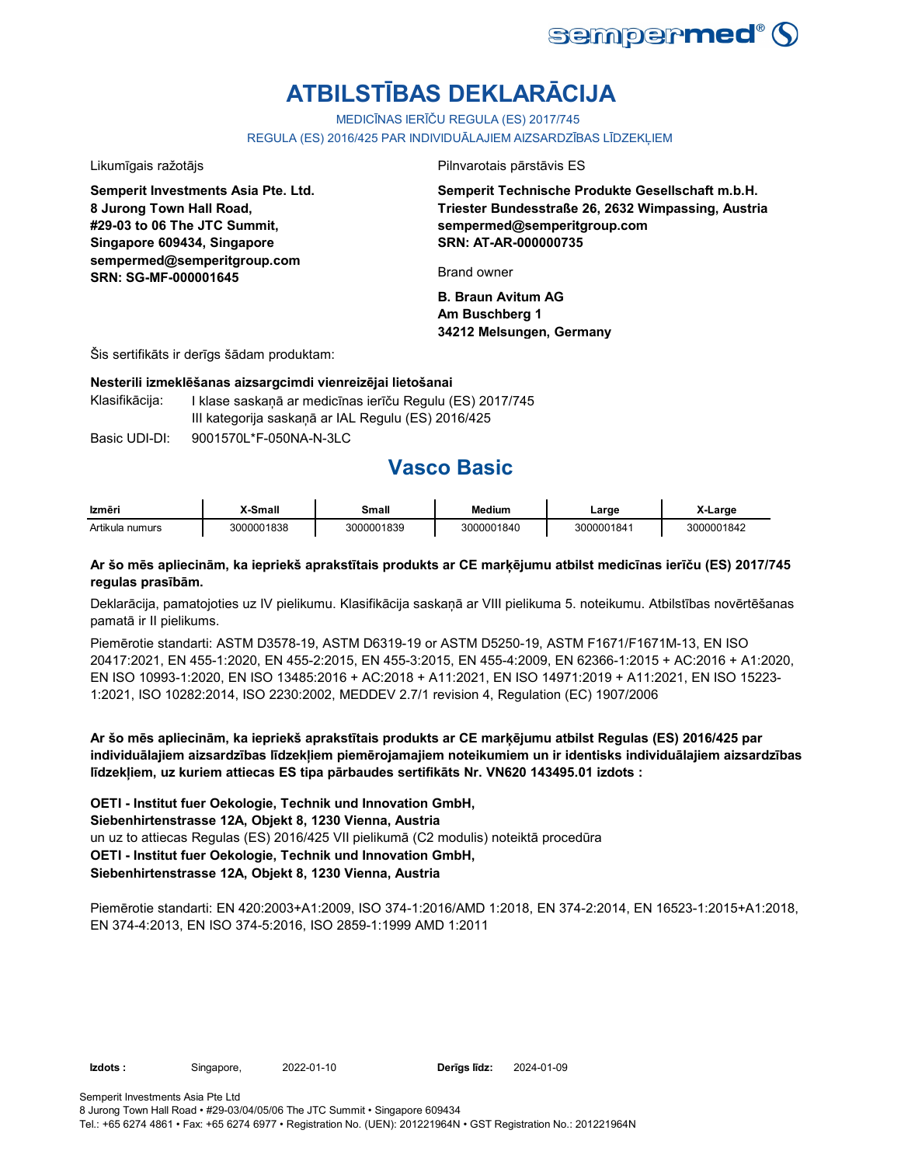

# **ATBILSTĪBAS DEKLARĀCIJA**

MEDICĪNAS IERĪČU REGULA (ES) 2017/745

REGULA (ES) 2016/425 PAR INDIVIDUĀLAJIEM AIZSARDZĪBAS LĪDZEKĻIEM

**Semperit Investments Asia Pte. Ltd. 8 Jurong Town Hall Road, #29-03 to 06 The JTC Summit, Singapore 609434, Singapore sempermed@semperitgroup.com SRN: SG-MF-000001645**

Likumīgais ražotājs Pilnvarotais pārstāvis ES

**Semperit Technische Produkte Gesellschaft m.b.H. Triester Bundesstraße 26, 2632 Wimpassing, Austria sempermed@semperitgroup.com SRN: AT-AR-000000735**

Brand owner

**B. Braun Avitum AG Am Buschberg 1 34212 Melsungen, Germany**

Šis sertifikāts ir derīgs šādam produktam:

#### **Nesterili izmeklēšanas aizsargcimdi vienreizējai lietošanai**

Klasifikācija: I klase saskaņā ar medicīnas ierīču Regulu (ES) 2017/745 III kategorija saskaņā ar IAL Regulu (ES) 2016/425

Basic UDI-DI: 9001570L\*F-050NA-N-3LC 9001570L\*F-050NA-N-3L

## **Vasco Basic**

| Izmēri          | X-Small    | Small      | <b>Medium</b> | Large      | X-Large    |
|-----------------|------------|------------|---------------|------------|------------|
| Artikula numurs | 3000001838 | 3000001839 | 3000001840    | 3000001841 | 3000001842 |

#### **Ar šo mēs apliecinām, ka iepriekš aprakstītais produkts ar CE marķējumu atbilst medicīnas ierīču (ES) 2017/745 regulas prasībām.**

Deklarācija, pamatojoties uz IV pielikumu. Klasifikācija saskaņā ar VIII pielikuma 5. noteikumu. Atbilstības novērtēšanas pamatā ir II pielikums.

Piemērotie standarti: ASTM D3578-19, ASTM D6319-19 or ASTM D5250-19, ASTM F1671/F1671M-13, EN ISO 20417:2021, EN 455-1:2020, EN 455-2:2015, EN 455-3:2015, EN 455-4:2009, EN 62366-1:2015 + AC:2016 + A1:2020, EN ISO 10993-1:2020, EN ISO 13485:2016 + AC:2018 + A11:2021, EN ISO 14971:2019 + A11:2021, EN ISO 15223- 1:2021, ISO 10282:2014, ISO 2230:2002, MEDDEV 2.7/1 revision 4, Regulation (EC) 1907/2006

**Ar šo mēs apliecinām, ka iepriekš aprakstītais produkts ar CE marķējumu atbilst Regulas (ES) 2016/425 par individuālajiem aizsardzības līdzekļiem piemērojamajiem noteikumiem un ir identisks individuālajiem aizsardzības līdzekļiem, uz kuriem attiecas ES tipa pārbaudes sertifikāts Nr. VN620 143495.01 izdots :**

un uz to attiecas Regulas (ES) 2016/425 VII pielikumā (C2 modulis) noteiktā procedūra **OETI - Institut fuer Oekologie, Technik und Innovation GmbH, Siebenhirtenstrasse 12A, Objekt 8, 1230 Vienna, Austria OETI - Institut fuer Oekologie, Technik und Innovation GmbH, Siebenhirtenstrasse 12A, Objekt 8, 1230 Vienna, Austria**

Piemērotie standarti: EN 420:2003+A1:2009, ISO 374-1:2016/AMD 1:2018, EN 374-2:2014, EN 16523-1:2015+A1:2018, EN 374-4:2013, EN ISO 374-5:2016, ISO 2859-1:1999 AMD 1:2011

**Izdots :** Singapore, 2022-01-10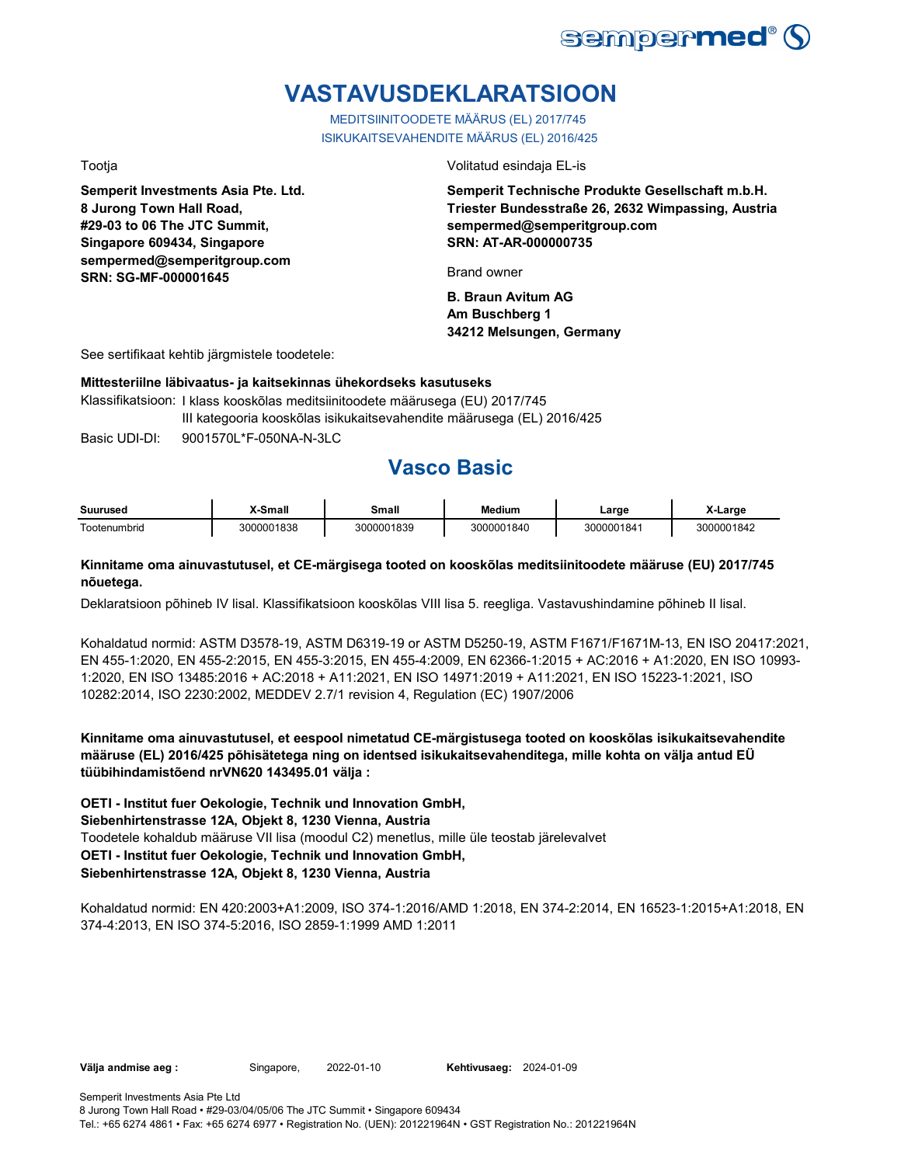

# **VASTAVUSDEKLARATSIOON**

MEDITSIINITOODETE MÄÄRUS (EL) 2017/745 ISIKUKAITSEVAHENDITE MÄÄRUS (EL) 2016/425

**Semperit Investments Asia Pte. Ltd. 8 Jurong Town Hall Road, #29-03 to 06 The JTC Summit, Singapore 609434, Singapore sempermed@semperitgroup.com SRN: SG-MF-000001645**

Tootja Volitatud esindaja EL-is

**Semperit Technische Produkte Gesellschaft m.b.H. Triester Bundesstraße 26, 2632 Wimpassing, Austria sempermed@semperitgroup.com SRN: AT-AR-000000735**

Brand owner

**B. Braun Avitum AG Am Buschberg 1 34212 Melsungen, Germany**

See sertifikaat kehtib järgmistele toodetele:

#### **Mittesteriilne läbivaatus- ja kaitsekinnas ühekordseks kasutuseks**

Klassifikatsioon: I klass kooskõlas meditsiinitoodete määrusega (EU) 2017/745 III kategooria kooskõlas isikukaitsevahendite määrusega (EL) 2016/425

Basic UDI-DI: 9001570L\*F-050NA-N-3LC 9001570L\*F-050NA-N-3L

## **Vasco Basic**

| <b>Suurused</b>             | $S_{\rm mod}$<br>нан | 3mall               | <b>Medium</b> | _arɑe          | .arge      |
|-----------------------------|----------------------|---------------------|---------------|----------------|------------|
| $\sim$<br>umbrid<br>' ooter | 0001838              | 01839<br>ეიიი<br>חה | 01840<br>ו∩פ  | 00001841<br>າດ | וחכ<br>84. |

#### **Kinnitame oma ainuvastutusel, et CE-märgisega tooted on kooskõlas meditsiinitoodete määruse (EU) 2017/745 nõuetega.**

Deklaratsioon põhineb IV lisal. Klassifikatsioon kooskõlas VIII lisa 5. reegliga. Vastavushindamine põhineb II lisal.

Kohaldatud normid: ASTM D3578-19, ASTM D6319-19 or ASTM D5250-19, ASTM F1671/F1671M-13, EN ISO 20417:2021, EN 455-1:2020, EN 455-2:2015, EN 455-3:2015, EN 455-4:2009, EN 62366-1:2015 + AC:2016 + A1:2020, EN ISO 10993- 1:2020, EN ISO 13485:2016 + AC:2018 + A11:2021, EN ISO 14971:2019 + A11:2021, EN ISO 15223-1:2021, ISO 10282:2014, ISO 2230:2002, MEDDEV 2.7/1 revision 4, Regulation (EC) 1907/2006

**Kinnitame oma ainuvastutusel, et eespool nimetatud CE-märgistusega tooted on kooskõlas isikukaitsevahendite määruse (EL) 2016/425 põhisätetega ning on identsed isikukaitsevahenditega, mille kohta on välja antud EÜ tüübihindamistõend nrVN620 143495.01 välja :**

**OETI - Institut fuer Oekologie, Technik und Innovation GmbH,** 

**Siebenhirtenstrasse 12A, Objekt 8, 1230 Vienna, Austria**

Toodetele kohaldub määruse VII lisa (moodul C2) menetlus, mille üle teostab järelevalvet

**OETI - Institut fuer Oekologie, Technik und Innovation GmbH,** 

### **Siebenhirtenstrasse 12A, Objekt 8, 1230 Vienna, Austria**

Kohaldatud normid: EN 420:2003+A1:2009, ISO 374-1:2016/AMD 1:2018, EN 374-2:2014, EN 16523-1:2015+A1:2018, EN 374-4:2013, EN ISO 374-5:2016, ISO 2859-1:1999 AMD 1:2011

Välja andmise aeg : Singapore, 2022-01-10 Kehtivusaeg: 2024-01-09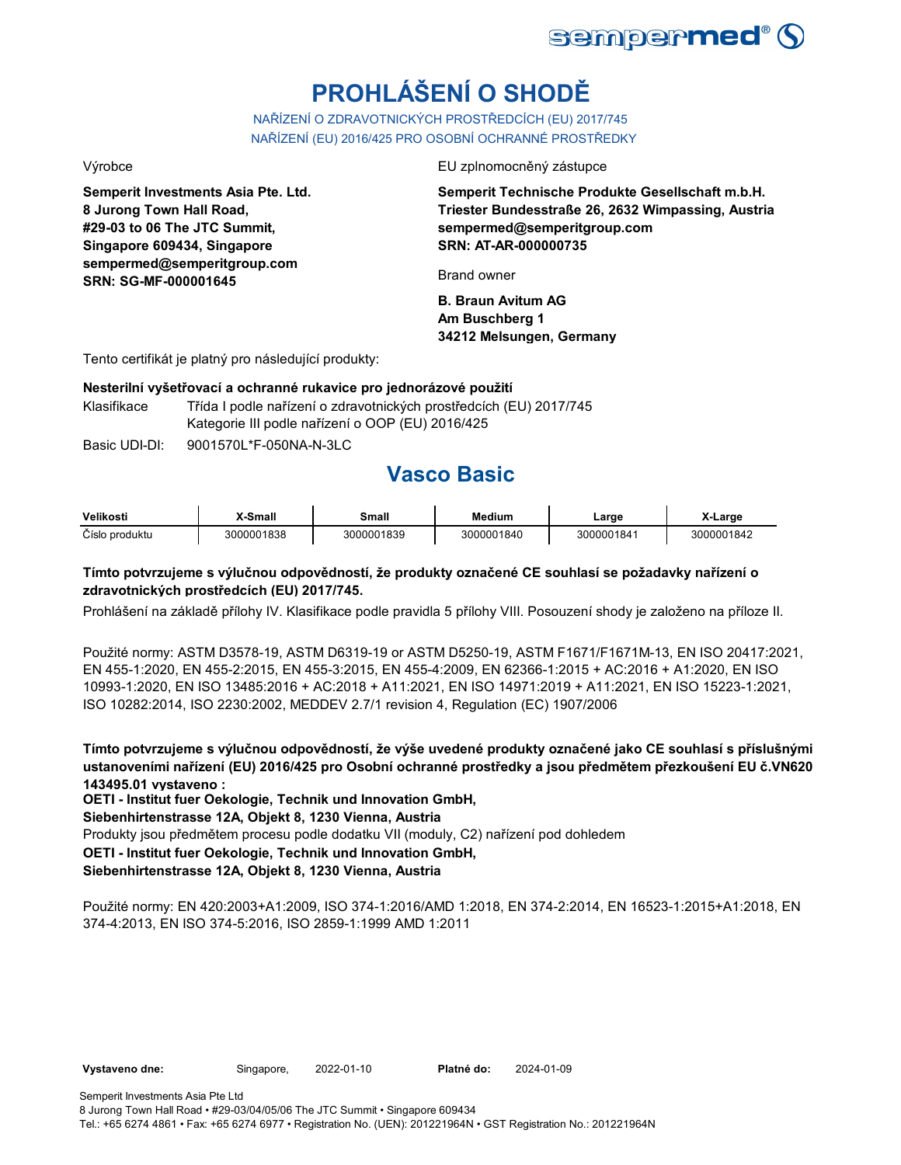

# **PROHLÁŠENÍ O SHODĚ**

NAŘÍZENÍ O ZDRAVOTNICKÝCH PROSTŘEDCÍCH (EU) 2017/745 NAŘÍZENÍ (EU) 2016/425 PRO OSOBNÍ OCHRANNÉ PROSTŘEDKY

**Semperit Investments Asia Pte. Ltd. 8 Jurong Town Hall Road, #29-03 to 06 The JTC Summit, Singapore 609434, Singapore sempermed@semperitgroup.com SRN: SG-MF-000001645**

#### Výrobce EU zplnomocněný zástupce

**Semperit Technische Produkte Gesellschaft m.b.H. Triester Bundesstraße 26, 2632 Wimpassing, Austria sempermed@semperitgroup.com SRN: AT-AR-000000735**

Brand owner

**B. Braun Avitum AG Am Buschberg 1 34212 Melsungen, Germany**

Tento certifikát je platný pro následující produkty:

#### **Nesterilní vyšetřovací a ochranné rukavice pro jednorázové použití**

Klasifikace Třída I podle nařízení o zdravotnických prostředcích (EU) 2017/745 Kategorie III podle nařízení o OOP (EU) 2016/425

Basic UDI-DI: 9001570L\*F-050NA-N-3LC 9001570L\*F-050NA-N-3L

## **Vasco Basic**

| Velikosti      | X-Small    | Small      | Medium     | _arge      | X-Larɑe    |
|----------------|------------|------------|------------|------------|------------|
| Číslo produktu | 3000001838 | 3000001839 | 3000001840 | 3000001841 | 3000001842 |

### **Tímto potvrzujeme s výlučnou odpovědností, že produkty označené CE souhlasí se požadavky nařízení o zdravotnických prostředcích (EU) 2017/745.**

Prohlášení na základě přílohy IV. Klasifikace podle pravidla 5 přílohy VIII. Posouzení shody je založeno na příloze II.

Použité normy: ASTM D3578-19, ASTM D6319-19 or ASTM D5250-19, ASTM F1671/F1671M-13, EN ISO 20417:2021, EN 455-1:2020, EN 455-2:2015, EN 455-3:2015, EN 455-4:2009, EN 62366-1:2015 + AC:2016 + A1:2020, EN ISO 10993-1:2020, EN ISO 13485:2016 + AC:2018 + A11:2021, EN ISO 14971:2019 + A11:2021, EN ISO 15223-1:2021, ISO 10282:2014, ISO 2230:2002, MEDDEV 2.7/1 revision 4, Regulation (EC) 1907/2006

**Tímto potvrzujeme s výlučnou odpovědností, že výše uvedené produkty označené jako CE souhlasí s příslušnými ustanoveními nařízení (EU) 2016/425 pro Osobní ochranné prostředky a jsou předmětem přezkoušení EU č.VN620 143495.01 vystaveno :**

**OETI - Institut fuer Oekologie, Technik und Innovation GmbH,** 

#### **Siebenhirtenstrasse 12A, Objekt 8, 1230 Vienna, Austria**

Produkty jsou předmětem procesu podle dodatku VII (moduly, C2) nařízení pod dohledem

#### **OETI - Institut fuer Oekologie, Technik und Innovation GmbH,**

### **Siebenhirtenstrasse 12A, Objekt 8, 1230 Vienna, Austria**

Použité normy: EN 420:2003+A1:2009, ISO 374-1:2016/AMD 1:2018, EN 374-2:2014, EN 16523-1:2015+A1:2018, EN 374-4:2013, EN ISO 374-5:2016, ISO 2859-1:1999 AMD 1:2011

2022-01-10 2024-01-09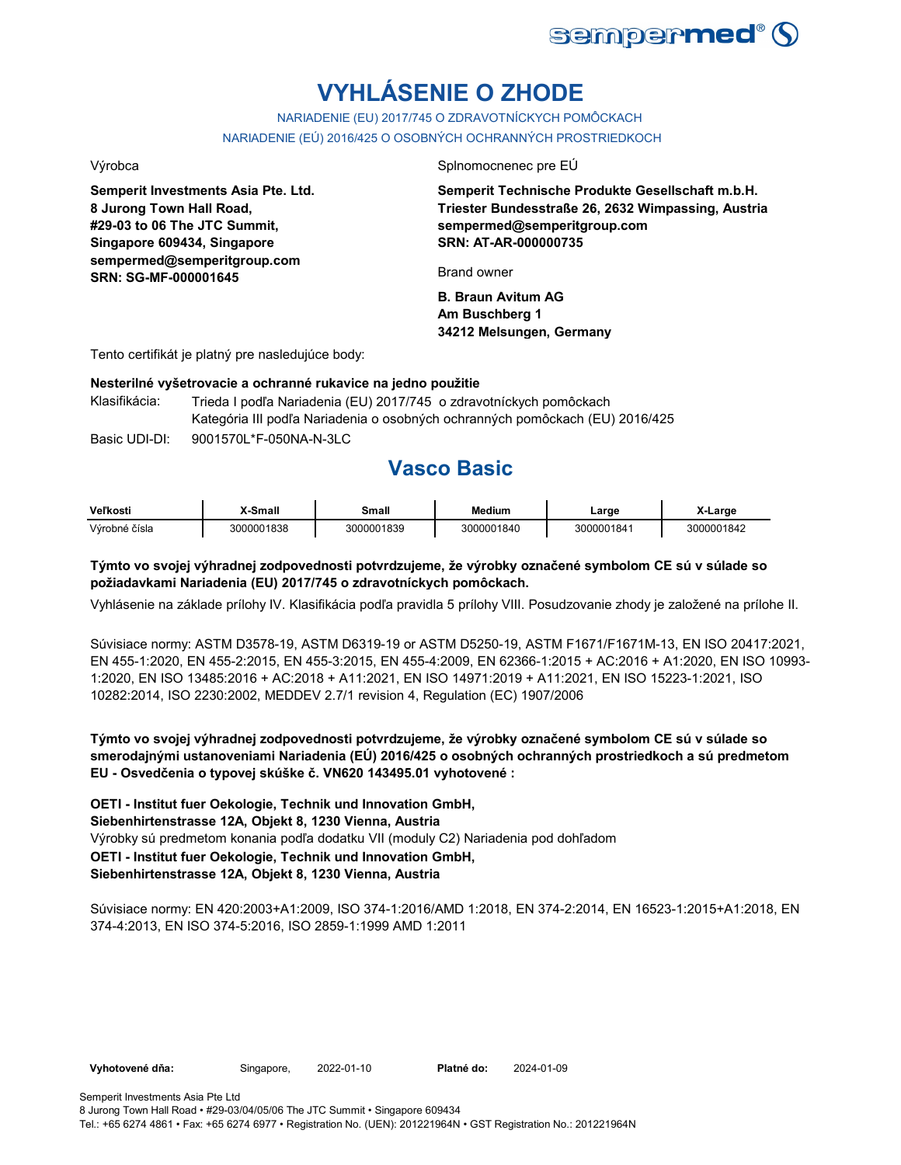

# **VYHLÁSENIE O ZHODE**

NARIADENIE (EU) 2017/745 O ZDRAVOTNÍCKYCH POMÔCKACH NARIADENIE (EÚ) 2016/425 O OSOBNÝCH OCHRANNÝCH PROSTRIEDKOCH

**Semperit Investments Asia Pte. Ltd. 8 Jurong Town Hall Road, #29-03 to 06 The JTC Summit, Singapore 609434, Singapore sempermed@semperitgroup.com SRN: SG-MF-000001645**

Výrobca Splnomocnenec pre EÚ

**Semperit Technische Produkte Gesellschaft m.b.H. Triester Bundesstraße 26, 2632 Wimpassing, Austria sempermed@semperitgroup.com SRN: AT-AR-000000735**

Brand owner

**B. Braun Avitum AG Am Buschberg 1 34212 Melsungen, Germany**

Tento certifikát je platný pre nasledujúce body:

#### **Nesterilné vyšetrovacie a ochranné rukavice na jedno použitie**

| Klasifikácia: | Trieda I podľa Nariadenia (EU) 2017/745 o zdravotníckych pomôckach           |
|---------------|------------------------------------------------------------------------------|
|               | Kategória III podľa Nariadenia o osobných ochranných pomôckach (EU) 2016/425 |
| Basic UDI-DI: | 9001570L*F-050NA-N-3LC                                                       |

## **Vasco Basic**

| <b>Veľkosti</b> | X-Small    | Small      | Medium     | Large      | X-Large    |
|-----------------|------------|------------|------------|------------|------------|
| Výrobné čísla   | 3000001838 | 3000001839 | 3000001840 | 3000001841 | 3000001842 |

### **Týmto vo svojej výhradnej zodpovednosti potvrdzujeme, že výrobky označené symbolom CE sú v súlade so požiadavkami Nariadenia (EU) 2017/745 o zdravotníckych pomôckach.**

Vyhlásenie na základe prílohy IV. Klasifikácia podľa pravidla 5 prílohy VIII. Posudzovanie zhody je založené na prílohe II.

Súvisiace normy: ASTM D3578-19, ASTM D6319-19 or ASTM D5250-19, ASTM F1671/F1671M-13, EN ISO 20417:2021, EN 455-1:2020, EN 455-2:2015, EN 455-3:2015, EN 455-4:2009, EN 62366-1:2015 + AC:2016 + A1:2020, EN ISO 10993- 1:2020, EN ISO 13485:2016 + AC:2018 + A11:2021, EN ISO 14971:2019 + A11:2021, EN ISO 15223-1:2021, ISO 10282:2014, ISO 2230:2002, MEDDEV 2.7/1 revision 4, Regulation (EC) 1907/2006

**Týmto vo svojej výhradnej zodpovednosti potvrdzujeme, že výrobky označené symbolom CE sú v súlade so smerodajnými ustanoveniami Nariadenia (EÚ) 2016/425 o osobných ochranných prostriedkoch a sú predmetom EU - Osvedčenia o typovej skúške č. VN620 143495.01 vyhotovené :**

Výrobky sú predmetom konania podľa dodatku VII (moduly C2) Nariadenia pod dohľadom **OETI - Institut fuer Oekologie, Technik und Innovation GmbH, Siebenhirtenstrasse 12A, Objekt 8, 1230 Vienna, Austria OETI - Institut fuer Oekologie, Technik und Innovation GmbH, Siebenhirtenstrasse 12A, Objekt 8, 1230 Vienna, Austria**

Súvisiace normy: EN 420:2003+A1:2009, ISO 374-1:2016/AMD 1:2018, EN 374-2:2014, EN 16523-1:2015+A1:2018, EN 374-4:2013, EN ISO 374-5:2016, ISO 2859-1:1999 AMD 1:2011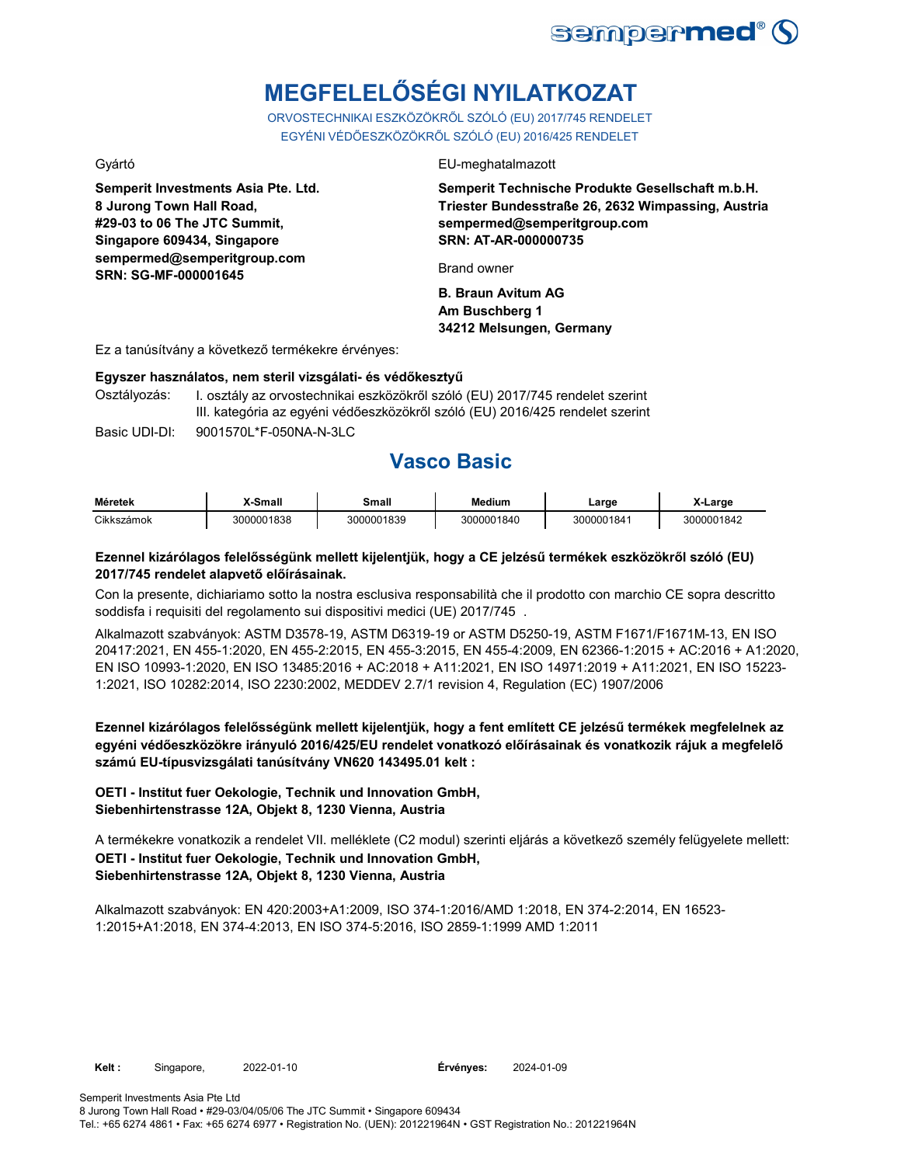

# **MEGFELELŐSÉGI NYILATKOZAT**

ORVOSTECHNIKAI ESZKÖZÖKRŐL SZÓLÓ (EU) 2017/745 RENDELET EGYÉNI VÉDŐESZKÖZÖKRŐL SZÓLÓ (EU) 2016/425 RENDELET

**Semperit Investments Asia Pte. Ltd. 8 Jurong Town Hall Road, #29-03 to 06 The JTC Summit, Singapore 609434, Singapore sempermed@semperitgroup.com SRN: SG-MF-000001645**

#### Gyártó EU-meghatalmazott

**Semperit Technische Produkte Gesellschaft m.b.H. Triester Bundesstraße 26, 2632 Wimpassing, Austria sempermed@semperitgroup.com SRN: AT-AR-000000735**

Brand owner

**B. Braun Avitum AG Am Buschberg 1 34212 Melsungen, Germany**

Ez a tanúsítvány a következő termékekre érvényes:

#### **Egyszer használatos, nem steril vizsgálati- és védőkesztyű**

Osztályozás: I. osztály az orvostechnikai eszközökről szóló (EU) 2017/745 rendelet szerint III. kategória az egyéni védőeszközökről szóló (EU) 2016/425 rendelet szerint

Basic UDI-DI: 9001570L\*F-050NA-N-3LC 9001570L\*F-050NA-N-3L

## **Vasco Basic**

| <b>Méretek</b>       | Smal            | Small      | <b>Medium</b> | ∟arge      | <u>arge</u> |
|----------------------|-----------------|------------|---------------|------------|-------------|
| <b>Cikks2</b><br>mok | 00001838<br>300 | 3000001839 | 3000001840    | 3000001841 | 3000001842  |

### **Ezennel kizárólagos felelősségünk mellett kijelentjük, hogy a CE jelzésű termékek eszközökről szóló (EU) 2017/745 rendelet alapvető előírásainak.**

Con la presente, dichiariamo sotto la nostra esclusiva responsabilità che il prodotto con marchio CE sopra descritto soddisfa i requisiti del regolamento sui dispositivi medici (UE) 2017/745 .

Alkalmazott szabványok: ASTM D3578-19, ASTM D6319-19 or ASTM D5250-19, ASTM F1671/F1671M-13, EN ISO 20417:2021, EN 455-1:2020, EN 455-2:2015, EN 455-3:2015, EN 455-4:2009, EN 62366-1:2015 + AC:2016 + A1:2020, EN ISO 10993-1:2020, EN ISO 13485:2016 + AC:2018 + A11:2021, EN ISO 14971:2019 + A11:2021, EN ISO 15223- 1:2021, ISO 10282:2014, ISO 2230:2002, MEDDEV 2.7/1 revision 4, Regulation (EC) 1907/2006

**Ezennel kizárólagos felelősségünk mellett kijelentjük, hogy a fent említett CE jelzésű termékek megfelelnek az egyéni védőeszközökre irányuló 2016/425/EU rendelet vonatkozó előírásainak és vonatkozik rájuk a megfelelő számú EU-típusvizsgálati tanúsítvány VN620 143495.01 kelt :**

### **OETI - Institut fuer Oekologie, Technik und Innovation GmbH, Siebenhirtenstrasse 12A, Objekt 8, 1230 Vienna, Austria**

A termékekre vonatkozik a rendelet VII. melléklete (C2 modul) szerinti eljárás a következő személy felügyelete mellett: **OETI - Institut fuer Oekologie, Technik und Innovation GmbH, Siebenhirtenstrasse 12A, Objekt 8, 1230 Vienna, Austria**

Alkalmazott szabványok: EN 420:2003+A1:2009, ISO 374-1:2016/AMD 1:2018, EN 374-2:2014, EN 16523- 1:2015+A1:2018, EN 374-4:2013, EN ISO 374-5:2016, ISO 2859-1:1999 AMD 1:2011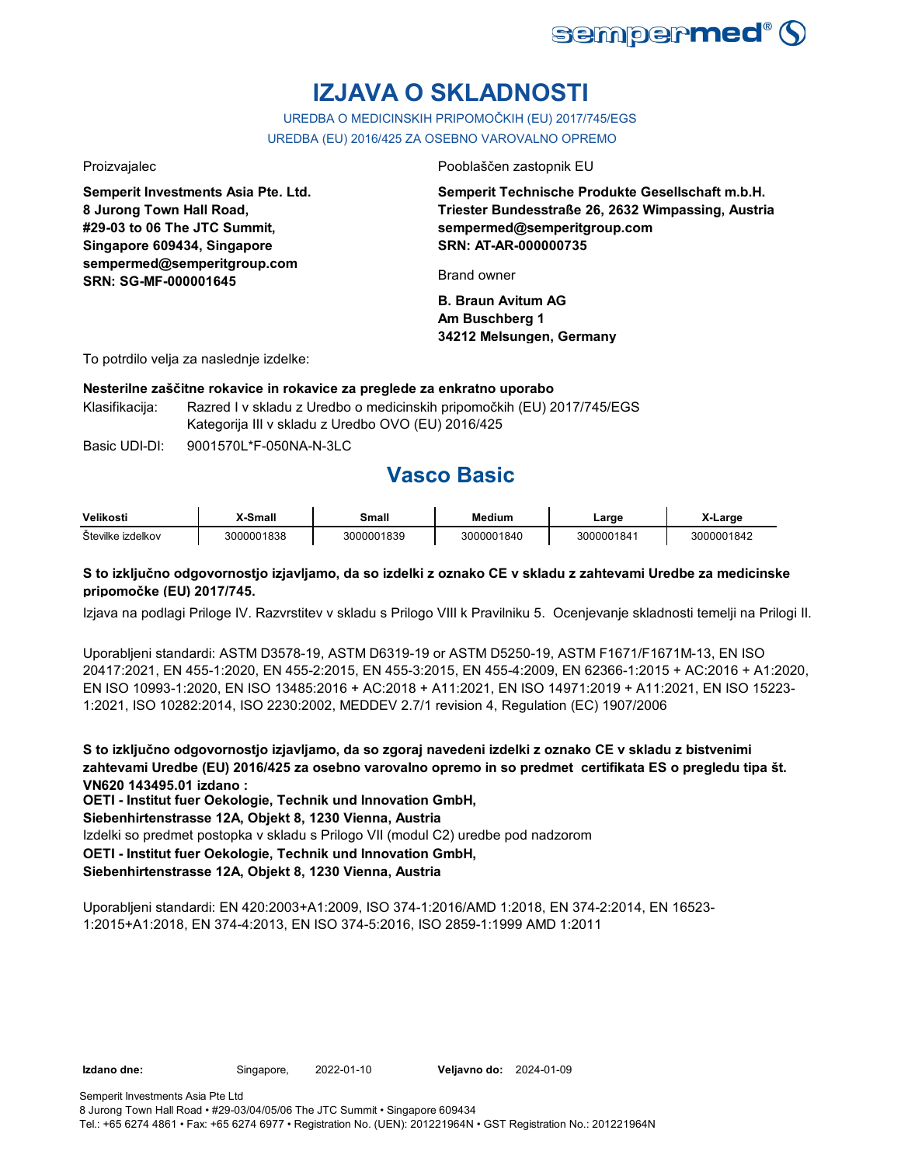

# **IZJAVA O SKLADNOSTI**

UREDBA O MEDICINSKIH PRIPOMOČKIH (EU) 2017/745/EGS UREDBA (EU) 2016/425 ZA OSEBNO VAROVALNO OPREMO

**Semperit Investments Asia Pte. Ltd. 8 Jurong Town Hall Road, #29-03 to 06 The JTC Summit, Singapore 609434, Singapore sempermed@semperitgroup.com SRN: SG-MF-000001645**

Proizvajalec Pooblaščen zastopnik EU

**Semperit Technische Produkte Gesellschaft m.b.H. Triester Bundesstraße 26, 2632 Wimpassing, Austria sempermed@semperitgroup.com SRN: AT-AR-000000735**

Brand owner

**B. Braun Avitum AG Am Buschberg 1 34212 Melsungen, Germany**

To potrdilo velja za naslednje izdelke:

### **Nesterilne zaščitne rokavice in rokavice za preglede za enkratno uporabo**

Klasifikacija: Razred I v skladu z Uredbo o medicinskih pripomočkih (EU) 2017/745/EGS Kategorija III v skladu z Uredbo OVO (EU) 2016/425

Basic UDI-DI: 9001570L\*F-050NA-N-3LC 9001570L\*F-050NA-N-3L

# **Vasco Basic**

| Velikosti         | X-Small    | Small      | Medium     | ∟arɑe      | X-Large    |
|-------------------|------------|------------|------------|------------|------------|
| Številke izdelkov | 3000001838 | 3000001839 | 3000001840 | 3000001841 | 3000001842 |

### **S to izključno odgovornostjo izjavljamo, da so izdelki z oznako CE v skladu z zahtevami Uredbe za medicinske pripomočke (EU) 2017/745.**

Izjava na podlagi Priloge IV. Razvrstitev v skladu s Prilogo VIII k Pravilniku 5. Ocenjevanje skladnosti temelji na Prilogi II.

Uporabljeni standardi: ASTM D3578-19, ASTM D6319-19 or ASTM D5250-19, ASTM F1671/F1671M-13, EN ISO 20417:2021, EN 455-1:2020, EN 455-2:2015, EN 455-3:2015, EN 455-4:2009, EN 62366-1:2015 + AC:2016 + A1:2020, EN ISO 10993-1:2020, EN ISO 13485:2016 + AC:2018 + A11:2021, EN ISO 14971:2019 + A11:2021, EN ISO 15223- 1:2021, ISO 10282:2014, ISO 2230:2002, MEDDEV 2.7/1 revision 4, Regulation (EC) 1907/2006

**S to izključno odgovornostjo izjavljamo, da so zgoraj navedeni izdelki z oznako CE v skladu z bistvenimi zahtevami Uredbe (EU) 2016/425 za osebno varovalno opremo in so predmet certifikata ES o pregledu tipa št. VN620 143495.01 izdano :**

**OETI - Institut fuer Oekologie, Technik und Innovation GmbH,** 

#### **Siebenhirtenstrasse 12A, Objekt 8, 1230 Vienna, Austria**

Izdelki so predmet postopka v skladu s Prilogo VII (modul C2) uredbe pod nadzorom

**OETI - Institut fuer Oekologie, Technik und Innovation GmbH,** 

### **Siebenhirtenstrasse 12A, Objekt 8, 1230 Vienna, Austria**

Uporabljeni standardi: EN 420:2003+A1:2009, ISO 374-1:2016/AMD 1:2018, EN 374-2:2014, EN 16523- 1:2015+A1:2018, EN 374-4:2013, EN ISO 374-5:2016, ISO 2859-1:1999 AMD 1:2011

**Izdano dne:** Singapore, **Veljavno do:** 2022-01-10 2024-01-09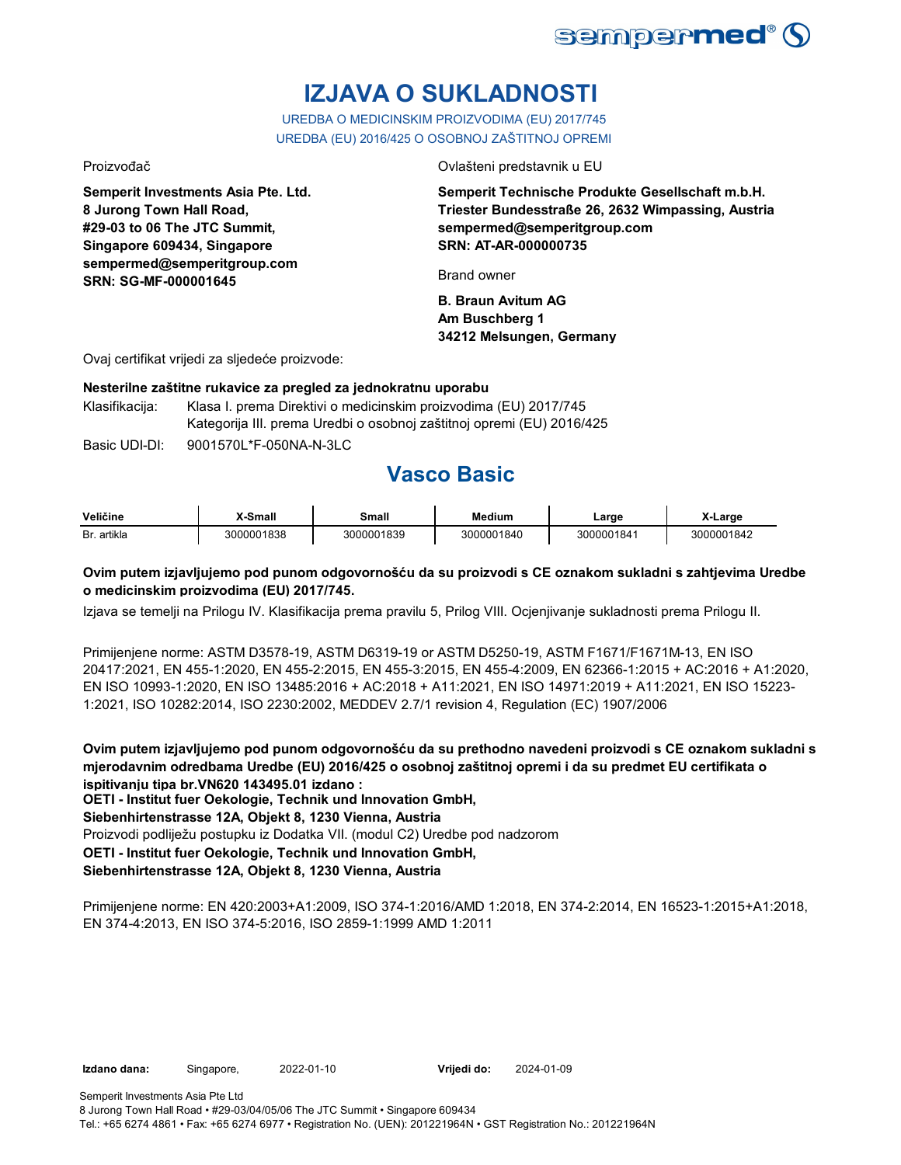

# **IZJAVA O SUKLADNOSTI**

UREDBA O MEDICINSKIM PROIZVODIMA (EU) 2017/745 UREDBA (EU) 2016/425 O OSOBNOJ ZAŠTITNOJ OPREMI

**Semperit Investments Asia Pte. Ltd. 8 Jurong Town Hall Road, #29-03 to 06 The JTC Summit, Singapore 609434, Singapore sempermed@semperitgroup.com SRN: SG-MF-000001645**

Proizvođač Ovlašteni predstavnik u EU

**Semperit Technische Produkte Gesellschaft m.b.H. Triester Bundesstraße 26, 2632 Wimpassing, Austria sempermed@semperitgroup.com SRN: AT-AR-000000735**

Brand owner

**B. Braun Avitum AG Am Buschberg 1 34212 Melsungen, Germany**

Ovaj certifikat vrijedi za sljedeće proizvode:

#### **Nesterilne zaštitne rukavice za pregled za jednokratnu uporabu**

Klasifikacija: Klasa I. prema Direktivi o medicinskim proizvodima (EU) 2017/745 Kategorija III. prema Uredbi o osobnoj zaštitnoj opremi (EU) 2016/425

Basic UDI-DI: 9001570L\*F-050NA-N-3LC 9001570L\*F-050NA-N-3L

# **Vasco Basic**

| Veličine    | X-Small    | Small      | Medium     | ∟arɑe      | X-Large    |
|-------------|------------|------------|------------|------------|------------|
| Br. artikla | 3000001838 | 3000001839 | 3000001840 | 3000001841 | 3000001842 |

### **Ovim putem izjavljujemo pod punom odgovornošću da su proizvodi s CE oznakom sukladni s zahtjevima Uredbe o medicinskim proizvodima (EU) 2017/745.**

Izjava se temelji na Prilogu IV. Klasifikacija prema pravilu 5, Prilog VIII. Ocjenjivanje sukladnosti prema Prilogu II.

Primijenjene norme: ASTM D3578-19, ASTM D6319-19 or ASTM D5250-19, ASTM F1671/F1671M-13, EN ISO 20417:2021, EN 455-1:2020, EN 455-2:2015, EN 455-3:2015, EN 455-4:2009, EN 62366-1:2015 + AC:2016 + A1:2020, EN ISO 10993-1:2020, EN ISO 13485:2016 + AC:2018 + A11:2021, EN ISO 14971:2019 + A11:2021, EN ISO 15223- 1:2021, ISO 10282:2014, ISO 2230:2002, MEDDEV 2.7/1 revision 4, Regulation (EC) 1907/2006

**Ovim putem izjavljujemo pod punom odgovornošću da su prethodno navedeni proizvodi s CE oznakom sukladni s mjerodavnim odredbama Uredbe (EU) 2016/425 o osobnoj zaštitnoj opremi i da su predmet EU certifikata o ispitivanju tipa br.VN620 143495.01 izdano :**

**OETI - Institut fuer Oekologie, Technik und Innovation GmbH,** 

#### **Siebenhirtenstrasse 12A, Objekt 8, 1230 Vienna, Austria**

Proizvodi podliježu postupku iz Dodatka VII. (modul C2) Uredbe pod nadzorom

**OETI - Institut fuer Oekologie, Technik und Innovation GmbH,** 

### **Siebenhirtenstrasse 12A, Objekt 8, 1230 Vienna, Austria**

Primijenjene norme: EN 420:2003+A1:2009, ISO 374-1:2016/AMD 1:2018, EN 374-2:2014, EN 16523-1:2015+A1:2018, EN 374-4:2013, EN ISO 374-5:2016, ISO 2859-1:1999 AMD 1:2011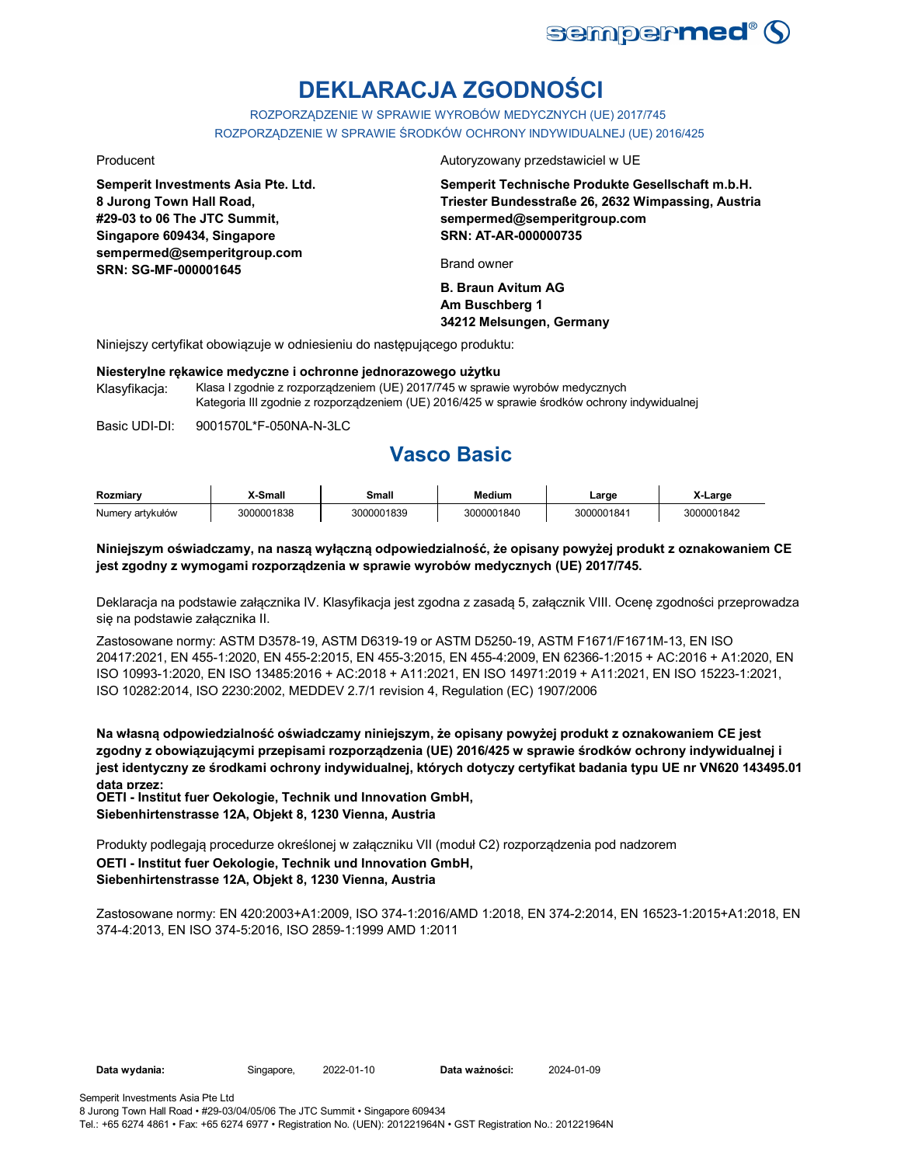

# **DEKLARACJA ZGODNOŚCI**

ROZPORZĄDZENIE W SPRAWIE WYROBÓW MEDYCZNYCH (UE) 2017/745 ROZPORZĄDZENIE W SPRAWIE ŚRODKÓW OCHRONY INDYWIDUALNEJ (UE) 2016/425

**Semperit Investments Asia Pte. Ltd. 8 Jurong Town Hall Road, #29-03 to 06 The JTC Summit, Singapore 609434, Singapore sempermed@semperitgroup.com SRN: SG-MF-000001645**

Producent **Autoryzowany przedstawiciel w UE** 

**Semperit Technische Produkte Gesellschaft m.b.H. Triester Bundesstraße 26, 2632 Wimpassing, Austria sempermed@semperitgroup.com SRN: AT-AR-000000735**

Brand owner

**B. Braun Avitum AG Am Buschberg 1 34212 Melsungen, Germany**

Niniejszy certyfikat obowiązuje w odniesieniu do następującego produktu:

#### **Niesterylne rękawice medyczne i ochronne jednorazowego użytku**

Klasyfikacja: Klasa I zgodnie z rozporządzeniem (UE) 2017/745 w sprawie wyrobów medycznych Kategoria III zgodnie z rozporządzeniem (UE) 2016/425 w sprawie środków ochrony indywidualnej

Basic UDI-DI: 9001570L\*F-050NA-N-3LC 9001570L\*F-050NA-N-3L

# **Vasco Basic**

| Rozmiarv         | X-Small    | Small      | Medium     | Large      | X-Large    |
|------------------|------------|------------|------------|------------|------------|
| Numerv artvkułów | 3000001838 | 3000001839 | 3000001840 | 3000001841 | 3000001842 |

### **Niniejszym oświadczamy, na naszą wyłączną odpowiedzialność, że opisany powyżej produkt z oznakowaniem CE jest zgodny z wymogami rozporządzenia w sprawie wyrobów medycznych (UE) 2017/745.**

Deklaracja na podstawie załącznika IV. Klasyfikacja jest zgodna z zasadą 5, załącznik VIII. Ocenę zgodności przeprowadza się na podstawie załącznika II.

Zastosowane normy: ASTM D3578-19, ASTM D6319-19 or ASTM D5250-19, ASTM F1671/F1671M-13, EN ISO 20417:2021, EN 455-1:2020, EN 455-2:2015, EN 455-3:2015, EN 455-4:2009, EN 62366-1:2015 + AC:2016 + A1:2020, EN ISO 10993-1:2020, EN ISO 13485:2016 + AC:2018 + A11:2021, EN ISO 14971:2019 + A11:2021, EN ISO 15223-1:2021, ISO 10282:2014, ISO 2230:2002, MEDDEV 2.7/1 revision 4, Regulation (EC) 1907/2006

**Na własną odpowiedzialność oświadczamy niniejszym, że opisany powyżej produkt z oznakowaniem CE jest zgodny z obowiązującymi przepisami rozporządzenia (UE) 2016/425 w sprawie środków ochrony indywidualnej i jest identyczny ze środkami ochrony indywidualnej, których dotyczy certyfikat badania typu UE nr VN620 143495.01 data przez:**

**OETI - Institut fuer Oekologie, Technik und Innovation GmbH, Siebenhirtenstrasse 12A, Objekt 8, 1230 Vienna, Austria**

Produkty podlegają procedurze określonej w załączniku VII (moduł C2) rozporządzenia pod nadzorem **OETI - Institut fuer Oekologie, Technik und Innovation GmbH, Siebenhirtenstrasse 12A, Objekt 8, 1230 Vienna, Austria**

Zastosowane normy: EN 420:2003+A1:2009, ISO 374-1:2016/AMD 1:2018, EN 374-2:2014, EN 16523-1:2015+A1:2018, EN 374-4:2013, EN ISO 374-5:2016, ISO 2859-1:1999 AMD 1:2011

Data wydania: Singapore, 2022-01-10

Data ważności: 2024-01-09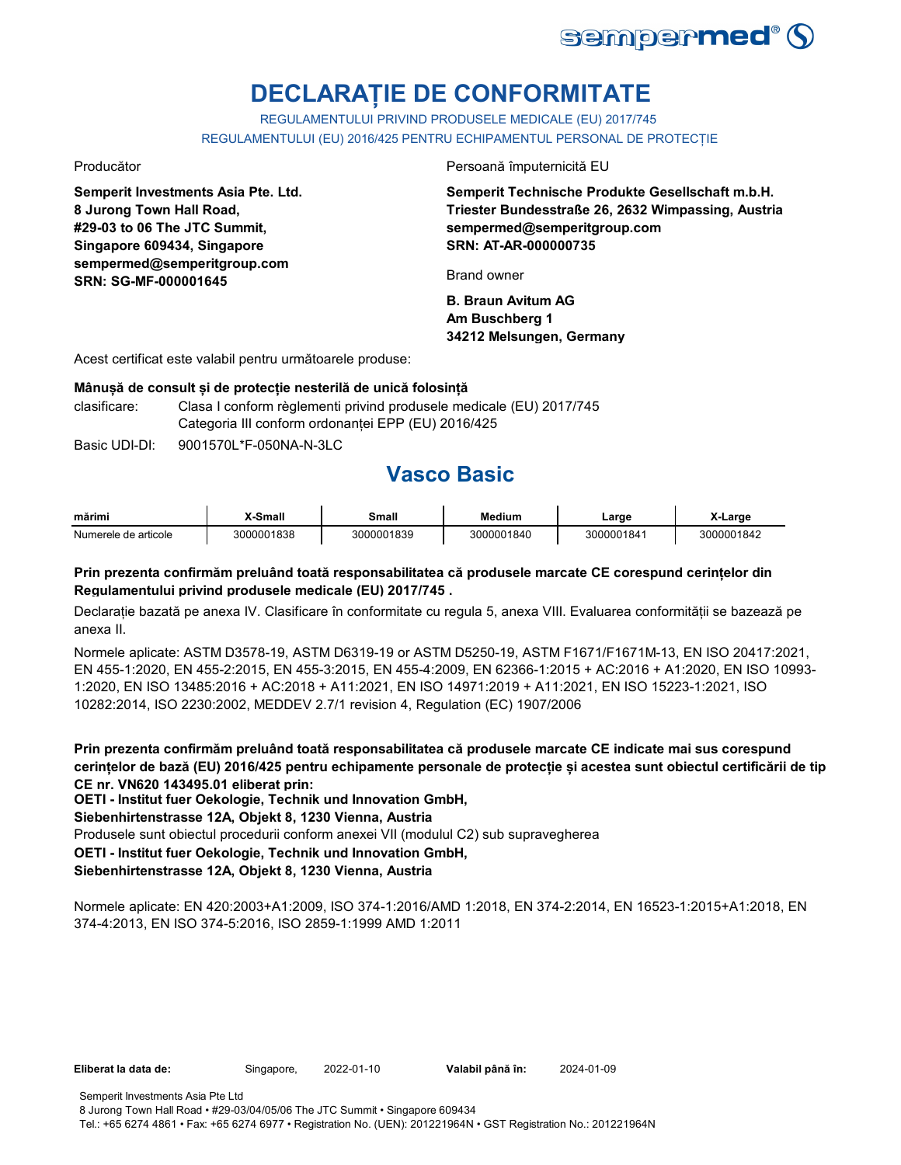

# **DECLARAȚIE DE CONFORMITATE**

REGULAMENTULUI PRIVIND PRODUSELE MEDICALE (EU) 2017/745 REGULAMENTULUI (EU) 2016/425 PENTRU ECHIPAMENTUL PERSONAL DE PROTECȚIE

**Semperit Investments Asia Pte. Ltd. 8 Jurong Town Hall Road, #29-03 to 06 The JTC Summit, Singapore 609434, Singapore sempermed@semperitgroup.com SRN: SG-MF-000001645**

Producător Persoană împuternicită EU

**Semperit Technische Produkte Gesellschaft m.b.H. Triester Bundesstraße 26, 2632 Wimpassing, Austria sempermed@semperitgroup.com SRN: AT-AR-000000735**

Brand owner

**B. Braun Avitum AG Am Buschberg 1 34212 Melsungen, Germany**

Acest certificat este valabil pentru următoarele produse:

#### **Mânușă de consult și de protecție nesterilă de unică folosință**

clasificare: Clasa I conform règlementi privind produsele medicale (EU) 2017/745 Categoria III conform ordonanței EPP (EU) 2016/425

Basic UDI-DI: 9001570L\*F-050NA-N-3LC 9001570L\*F-050NA-N-3L

# **Vasco Basic**

| mărimi               | Small          | `mall      | Medium     | ∟arɑe     | ∟arɑe      |
|----------------------|----------------|------------|------------|-----------|------------|
| Numerele de articole | 00001838<br>30 | 3000001839 | 3000001840 | 300000184 | 3000001842 |

### **Prin prezenta confirmăm preluând toată responsabilitatea că produsele marcate CE corespund cerințelor din Regulamentului privind produsele medicale (EU) 2017/745 .**

Declarație bazată pe anexa IV. Clasificare în conformitate cu regula 5, anexa VIII. Evaluarea conformității se bazează pe anexa II.

Normele aplicate: ASTM D3578-19, ASTM D6319-19 or ASTM D5250-19, ASTM F1671/F1671M-13, EN ISO 20417:2021, EN 455-1:2020, EN 455-2:2015, EN 455-3:2015, EN 455-4:2009, EN 62366-1:2015 + AC:2016 + A1:2020, EN ISO 10993- 1:2020, EN ISO 13485:2016 + AC:2018 + A11:2021, EN ISO 14971:2019 + A11:2021, EN ISO 15223-1:2021, ISO 10282:2014, ISO 2230:2002, MEDDEV 2.7/1 revision 4, Regulation (EC) 1907/2006

**Prin prezenta confirmăm preluând toată responsabilitatea că produsele marcate CE indicate mai sus corespund cerințelor de bază (EU) 2016/425 pentru echipamente personale de protecție și acestea sunt obiectul certificării de tip CE nr. VN620 143495.01 eliberat prin:**

**OETI - Institut fuer Oekologie, Technik und Innovation GmbH,** 

### **Siebenhirtenstrasse 12A, Objekt 8, 1230 Vienna, Austria**

Produsele sunt obiectul procedurii conform anexei VII (modulul C2) sub supravegherea

**OETI - Institut fuer Oekologie, Technik und Innovation GmbH,** 

### **Siebenhirtenstrasse 12A, Objekt 8, 1230 Vienna, Austria**

Normele aplicate: EN 420:2003+A1:2009, ISO 374-1:2016/AMD 1:2018, EN 374-2:2014, EN 16523-1:2015+A1:2018, EN 374-4:2013, EN ISO 374-5:2016, ISO 2859-1:1999 AMD 1:2011

**Eliberat la data de:** Singapore, **Valabil până în:** 2022-01-10 2024-01-09

Semperit Investments Asia Pte Ltd

8 Jurong Town Hall Road • #29-03/04/05/06 The JTC Summit • Singapore 609434 Tel.: +65 6274 4861 • Fax: +65 6274 6977 • Registration No. (UEN): 201221964N • GST Registration No.: 201221964N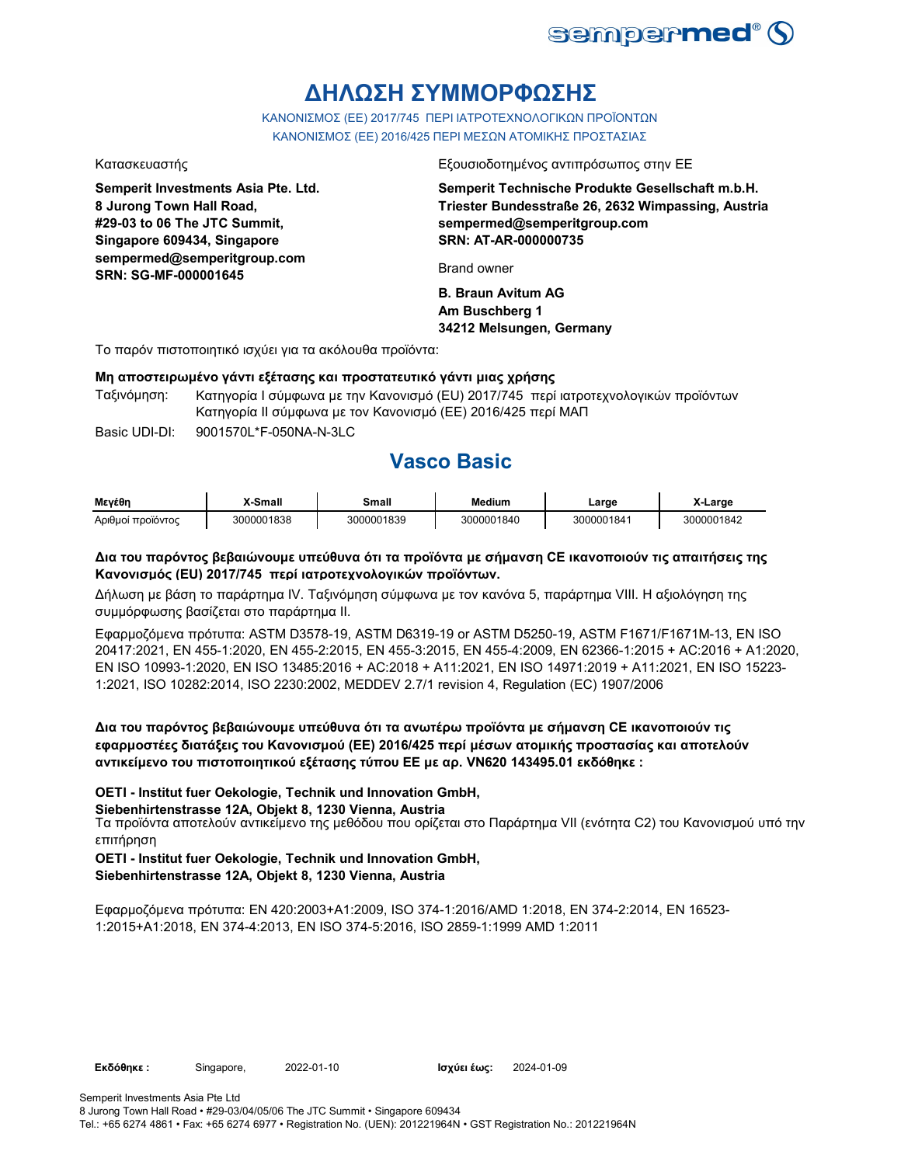

# **ΔΗΛΩΣΗ ΣΥΜΜΟΡΦΩΣΗΣ**

ΚΑΝΟΝΙΣΜΟΣ (EE) 2017/745 ΠΕΡΙ ΙΑΤΡΟΤΕΧΝΟΛΟΓΙΚΩΝ ΠΡΟΪΟΝΤΩΝ ΚΑΝΟΝΙΣΜΟΣ (ΕΕ) 2016/425 ΠΕΡΙ ΜΕΣΩΝ ΑΤΟΜΙΚΗΣ ΠΡΟΣΤΑΣΙΑΣ

**Semperit Investments Asia Pte. Ltd. 8 Jurong Town Hall Road, #29-03 to 06 The JTC Summit, Singapore 609434, Singapore sempermed@semperitgroup.com SRN: SG-MF-000001645**

Κατασκευαστής Εξουσιοδοτημένος αντιπρόσωπος στην ΕΕ

**Semperit Technische Produkte Gesellschaft m.b.H. Triester Bundesstraße 26, 2632 Wimpassing, Austria sempermed@semperitgroup.com SRN: AT-AR-000000735**

Brand owner

**B. Braun Avitum AG Am Buschberg 1 34212 Melsungen, Germany**

Το παρόν πιστοποιητικό ισχύει για τα ακόλουθα προϊόντα:

#### **Μη αποστειρωμένο γάντι εξέτασης και προστατευτικό γάντι μιας χρήσης**

Ταξινόμηση: Κατηγορία I σύμφωνα με την Κανονισμό (EU) 2017/745 περί ιατροτεχνολογικών προϊόντων Κατηγορία II σύμφωνα με τον Κανονισμό (ΕΕ) 2016/425 περί ΜΑΠ

Basic UDI-DI: 9001570L\*F-050NA-N-3LC 9001570L\*F-050NA-N-3L

## **Vasco Basic**

| Μενέθη            | -Small     | Small      | <b>Medium</b> | _arge      | X-Large    |
|-------------------|------------|------------|---------------|------------|------------|
| Αριθμοί προϊόντος | 3000001838 | 3000001839 | 3000001840    | 3000001841 | 3000001842 |

### **Δια του παρόντος βεβαιώνουμε υπεύθυνα ότι τα προϊόντα με σήμανση CE ικανοποιούν τις απαιτήσεις της Κανονισμός (EU) 2017/745 περί ιατροτεχνολογικών προϊόντων.**

Δήλωση με βάση το παράρτημα IV. Ταξινόμηση σύμφωνα με τον κανόνα 5, παράρτημα VIII. Η αξιολόγηση της συμμόρφωσης βασίζεται στο παράρτημα II.

Εφαρμοζόμενα πρότυπα: ASTM D3578-19, ASTM D6319-19 or ASTM D5250-19, ASTM F1671/F1671M-13, EN ISO 20417:2021, EN 455-1:2020, EN 455-2:2015, EN 455-3:2015, EN 455-4:2009, EN 62366-1:2015 + AC:2016 + A1:2020, EN ISO 10993-1:2020, EN ISO 13485:2016 + AC:2018 + A11:2021, EN ISO 14971:2019 + A11:2021, EN ISO 15223- 1:2021, ISO 10282:2014, ISO 2230:2002, MEDDEV 2.7/1 revision 4, Regulation (EC) 1907/2006

### **Δια του παρόντος βεβαιώνουμε υπεύθυνα ότι τα ανωτέρω προϊόντα με σήμανση CE ικανοποιούν τις εφαρμοστέες διατάξεις του Κανονισμού (ΕΕ) 2016/425 περί μέσων ατομικής προστασίας και αποτελούν αντικείμενο του πιστοποιητικού εξέτασης τύπου ΕΕ με αρ. VN620 143495.01 εκδόθηκε :**

#### **OETI - Institut fuer Oekologie, Technik und Innovation GmbH,**

#### **Siebenhirtenstrasse 12A, Objekt 8, 1230 Vienna, Austria**

Τα προϊόντα αποτελούν αντικείμενο της μεθόδου που ορίζεται στο Παράρτημα VII (ενότητα C2) του Κανονισμού υπό την επιτήρηση

### **OETI - Institut fuer Oekologie, Technik und Innovation GmbH,**

**Siebenhirtenstrasse 12A, Objekt 8, 1230 Vienna, Austria**

Εφαρμοζόμενα πρότυπα: EN 420:2003+A1:2009, ISO 374-1:2016/AMD 1:2018, EN 374-2:2014, EN 16523- 1:2015+A1:2018, EN 374-4:2013, EN ISO 374-5:2016, ISO 2859-1:1999 AMD 1:2011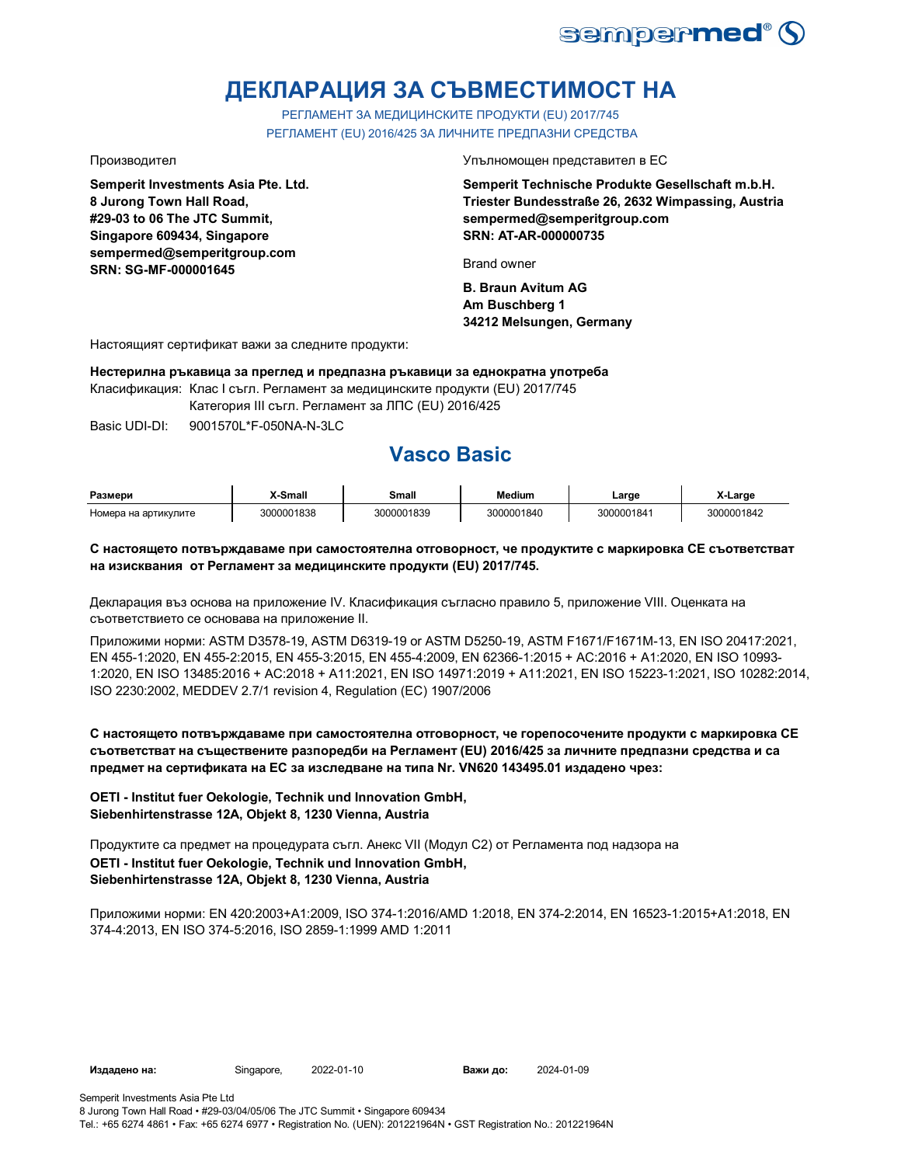

# **ДЕКЛАРАЦИЯ ЗА СЪВМЕСТИМОСТ НА**

РЕГЛАМЕНТ ЗА МЕДИЦИНСКИТЕ ПРОДУКТИ (EU) 2017/745 РЕГЛАМЕНТ (EU) 2016/425 ЗА ЛИЧНИТЕ ПРЕДПАЗНИ СРЕДСТВА

**Semperit Investments Asia Pte. Ltd. 8 Jurong Town Hall Road, #29-03 to 06 The JTC Summit, Singapore 609434, Singapore sempermed@semperitgroup.com SRN: SG-MF-000001645**

Производител Упълномощен представител в ЕС

**Semperit Technische Produkte Gesellschaft m.b.H. Triester Bundesstraße 26, 2632 Wimpassing, Austria sempermed@semperitgroup.com SRN: AT-AR-000000735**

Brand owner

**B. Braun Avitum AG Am Buschberg 1 34212 Melsungen, Germany**

Настоящият сертификат важи за следните продукти:

**Нестерилна ръкавица за преглед и предпазна ръкавици за еднократна употреба**

Класификация: Клас I съгл. Регламент за медицинските продукти (EU) 2017/745

Категория III съгл. Регламент за ЛПС (EU) 2016/425

Basic UDI-DI: 9001570L\*F-050NA-N-3LC

# **Vasco Basic**

| Размери              | K-Small    | Small      | Medium     | Large      | ∡-Larɑe    |
|----------------------|------------|------------|------------|------------|------------|
| Номера на артикулите | 3000001838 | 3000001839 | 3000001840 | 3000001841 | 3000001842 |

### **С настоящето потвърждаваме при самостоятелна отговорност, че продуктите с маркировка СЕ съответстват на изисквания от Регламент за медицинските продукти (EU) 2017/745.**

Декларация въз основа на приложение IV. Класификация съгласно правило 5, приложение VIII. Оценката на съответствието се основава на приложение II.

Приложими норми: ASTM D3578-19, ASTM D6319-19 or ASTM D5250-19, ASTM F1671/F1671M-13, EN ISO 20417:2021, EN 455-1:2020, EN 455-2:2015, EN 455-3:2015, EN 455-4:2009, EN 62366-1:2015 + AC:2016 + A1:2020, EN ISO 10993- 1:2020, EN ISO 13485:2016 + AC:2018 + A11:2021, EN ISO 14971:2019 + A11:2021, EN ISO 15223-1:2021, ISO 10282:2014, ISO 2230:2002, MEDDEV 2.7/1 revision 4, Regulation (EC) 1907/2006

**С настоящето потвърждаваме при самостоятелна отговорност, че горепосочените продукти с маркировка СЕ съответстват на съществените разпоредби на Регламент (EU) 2016/425 за личните предпазни средства и са предмет на сертификата на ЕС за изследване на типа Nr. VN620 143495.01 издадено чрез:**

#### **OETI - Institut fuer Oekologie, Technik und Innovation GmbH, Siebenhirtenstrasse 12A, Objekt 8, 1230 Vienna, Austria**

Продуктите са предмет на процедурата съгл. Анекс VII (Модул С2) от Регламента под надзора на **OETI - Institut fuer Oekologie, Technik und Innovation GmbH, Siebenhirtenstrasse 12A, Objekt 8, 1230 Vienna, Austria**

Приложими норми: EN 420:2003+A1:2009, ISO 374-1:2016/AMD 1:2018, EN 374-2:2014, EN 16523-1:2015+A1:2018, EN 374-4:2013, EN ISO 374-5:2016, ISO 2859-1:1999 AMD 1:2011

Важи до: 2024-01-09

Tel.: +65 6274 4861 • Fax: +65 6274 6977 • Registration No. (UEN): 201221964N • GST Registration No.: 201221964N